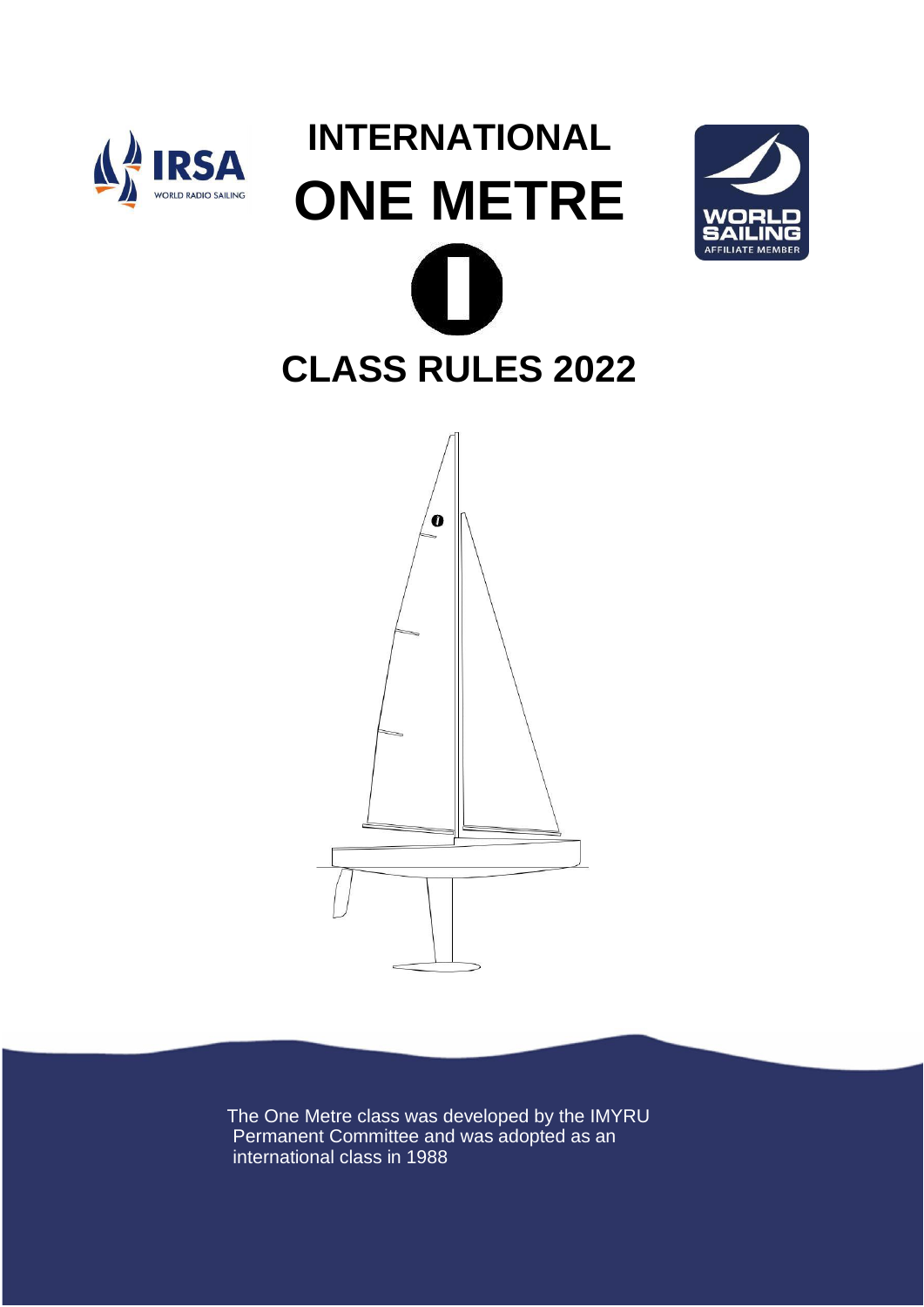

# **INTERNATIONAL ONE METRE CLASS RULES 2022**





The One Metre class was developed by the IMYRU Permanent Committee and was adopted as an international class in 1988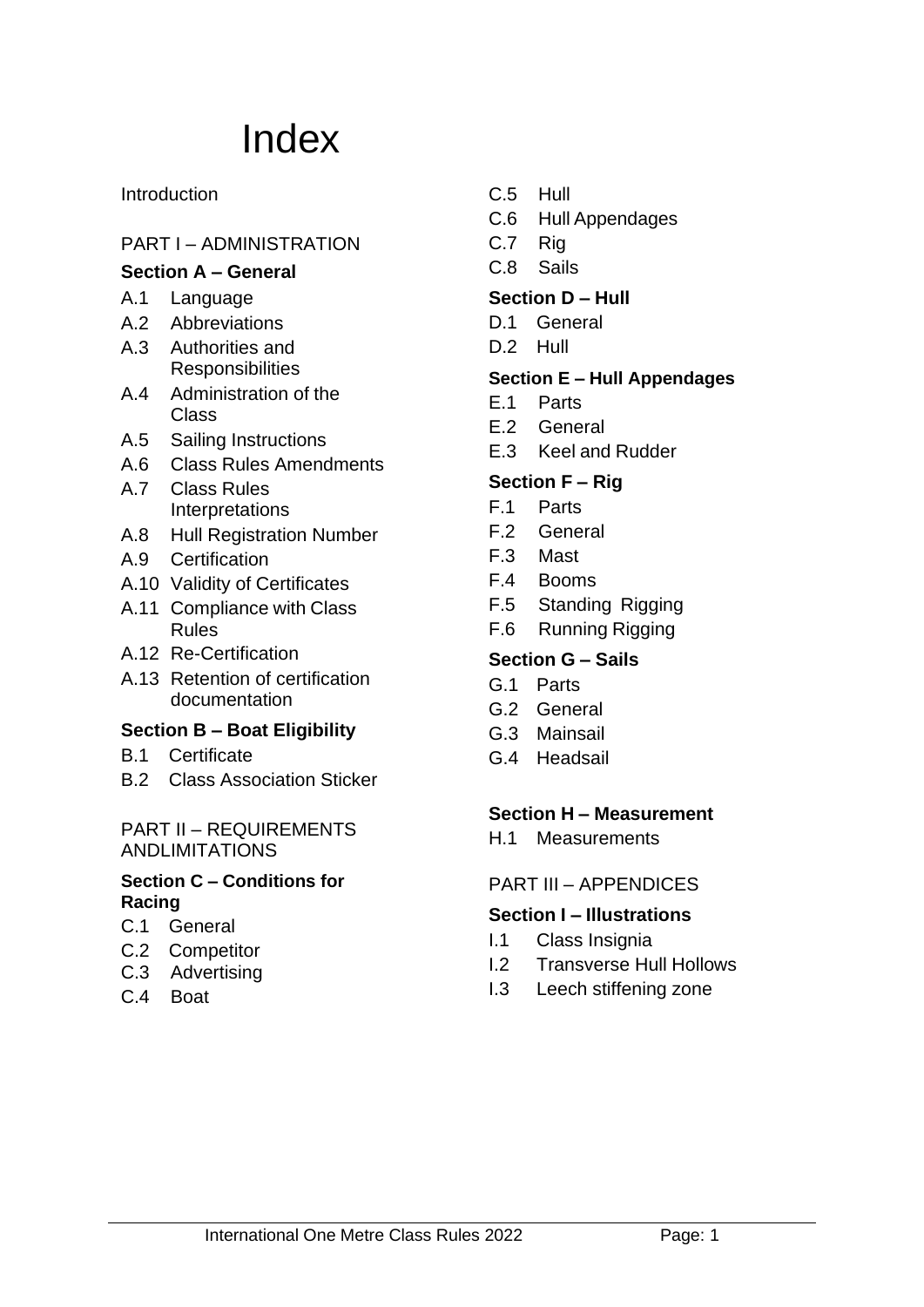# Index

#### Introduction

## PART I – ADMINISTRATION

#### **Section A – General**

- A.1 Language
- A.2 Abbreviations
- A.3 Authorities and **Responsibilities**
- A.4 Administration of the Class
- A.5 Sailing Instructions
- A.6 Class Rules Amendments
- A.7 Class Rules Interpretations
- A.8 Hull Registration Number
- A.9 Certification
- A.10 Validity of Certificates
- A.11 Compliance with Class Rules
- A.12 Re-Certification
- A.13 Retention of certification documentation

#### **Section B – Boat Eligibility**

- B.1 Certificate
- B.2 Class Association Sticker

#### PART II – REQUIREMENTS ANDLIMITATIONS

#### **Section C – Conditions for Racing**

- C.1 General
- C.2 Competitor
- C.3 Advertising
- C.4 Boat
- C.5 Hull
- C.6 Hull Appendages
- C.7 Rig
- C.8 Sails

#### **Section D – Hull**

- D.1 General
- D.2 Hull

#### **Section E – Hull Appendages**

- E.1 Parts
- E.2 General
- E.3 Keel and Rudder

## **Section F – Rig**

- F.1 Parts
- F.2 General
- F.3 Mast
- F.4 Booms
- F.5 Standing Rigging
- F.6 Running Rigging

#### **Section G – Sails**

- G.1 Parts
- G.2 General
- G.3 Mainsail
- G.4 Headsail

#### **Section H – Measurement**

H.1 Measurements

#### PART III – APPENDICES

#### **Section I – Illustrations**

- I.1 Class Insignia
- I.2 Transverse Hull Hollows
- I.3 Leech stiffening zone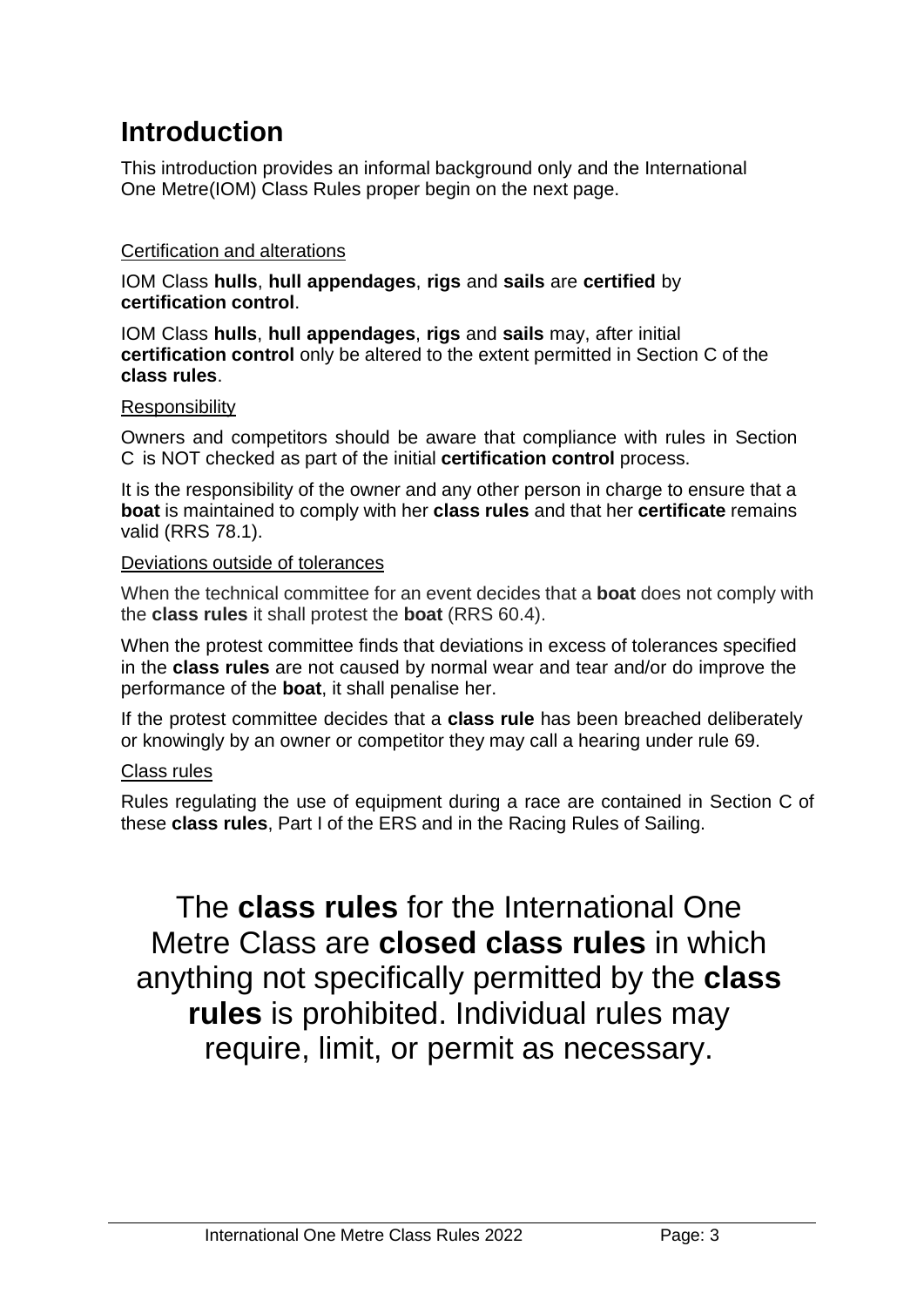# **Introduction**

This introduction provides an informal background only and the International One Metre(IOM) Class Rules proper begin on the next page.

#### Certification and alterations

IOM Class **hulls**, **hull appendages**, **rigs** and **sails** are **certified** by **certification control**.

IOM Class **hulls**, **hull appendages**, **rigs** and **sails** may, after initial **certification control** only be altered to the extent permitted in Section C of the **class rules**.

#### Responsibility

Owners and competitors should be aware that compliance with rules in Section C is NOT checked as part of the initial **certification control** process.

It is the responsibility of the owner and any other person in charge to ensure that a **boat** is maintained to comply with her **class rules** and that her **certificate** remains valid (RRS 78.1).

#### Deviations outside of tolerances

When the technical committee for an event decides that a **boat** does not comply with the **class rules** it shall protest the **boat** (RRS 60.4).

When the protest committee finds that deviations in excess of tolerances specified in the **class rules** are not caused by normal wear and tear and/or do improve the performance of the **boat**, it shall penalise her.

If the protest committee decides that a **class rule** has been breached deliberately or knowingly by an owner or competitor they may call a hearing under rule 69.

#### Class rules

Rules regulating the use of equipment during a race are contained in Section C of these **class rules**, Part I of the ERS and in the Racing Rules of Sailing.

The **class rules** for the International One Metre Class are **closed class rules** in which anything not specifically permitted by the **class rules** is prohibited. Individual rules may require, limit, or permit as necessary.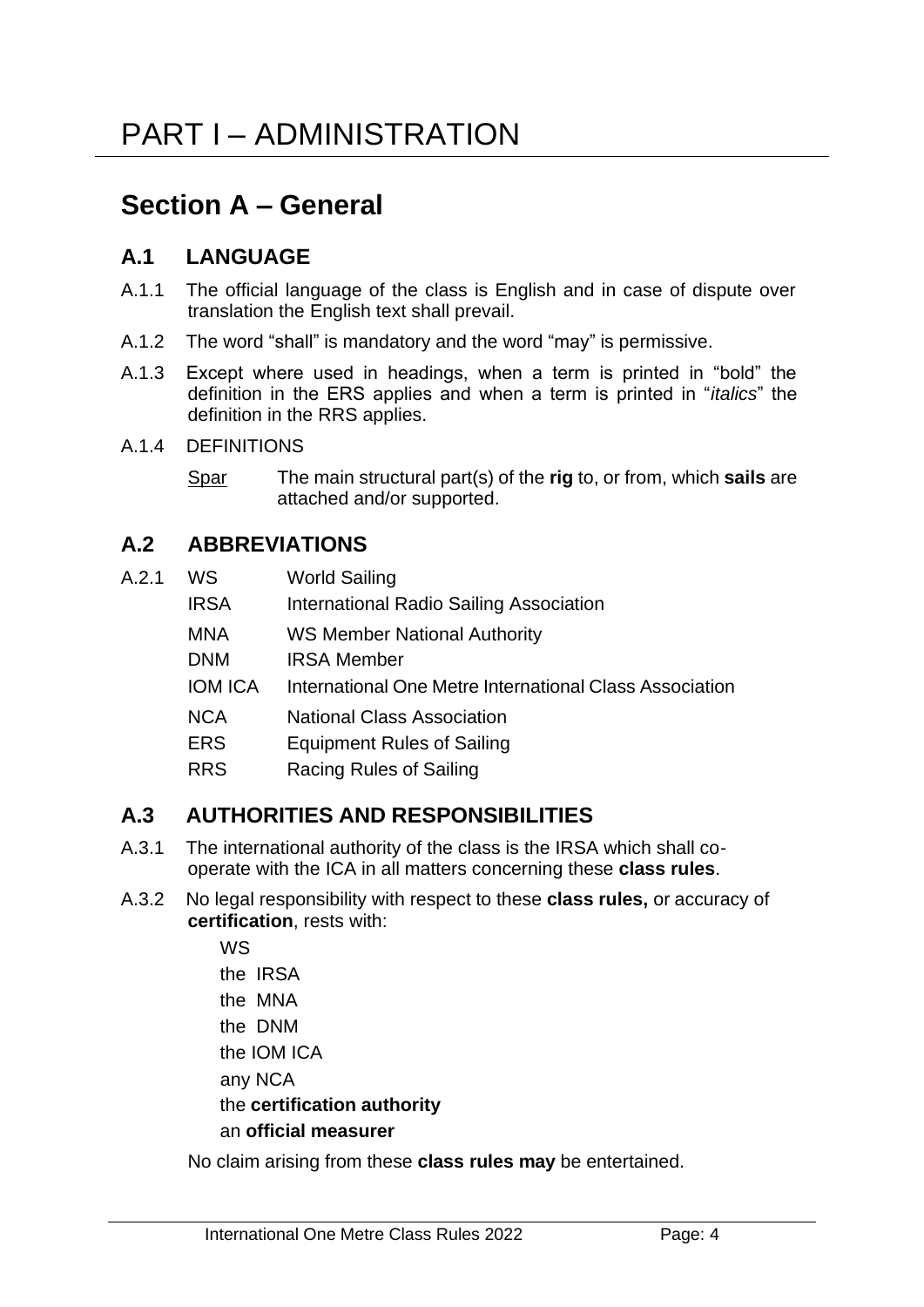# **Section A – General**

# **A.1 LANGUAGE**

- A.1.1 The official language of the class is English and in case of dispute over translation the English text shall prevail.
- A.1.2 The word "shall" is mandatory and the word "may" is permissive.
- A.1.3 Except where used in headings, when a term is printed in "bold" the definition in the ERS applies and when a term is printed in "*italics*" the definition in the RRS applies.
- A.1.4 DEFINITIONS
	- Spar The main structural part(s) of the **rig** to, or from, which **sails** are attached and/or supported.

# **A.2 ABBREVIATIONS**

| A.2.1 | WS. | <b>World Sailing</b> |
|-------|-----|----------------------|
|       |     |                      |

- IRSA International Radio Sailing Association
- MNA WS Member National Authority
- DNM IRSA Member
- IOM ICA International One Metre International Class Association
- NCA National Class Association
- ERS Equipment Rules of Sailing
- RRS Racing Rules of Sailing

# **A.3 AUTHORITIES AND RESPONSIBILITIES**

- A.3.1 The international authority of the class is the IRSA which shall cooperate with the ICA in all matters concerning these **class rules**.
- A.3.2 No legal responsibility with respect to these **class rules,** or accuracy of **certification**, rests with:

WS the IRSA the MNA the DNM the IOM ICA any NCA the **certification authority** an **official measurer**

No claim arising from these **class rules may** be entertained.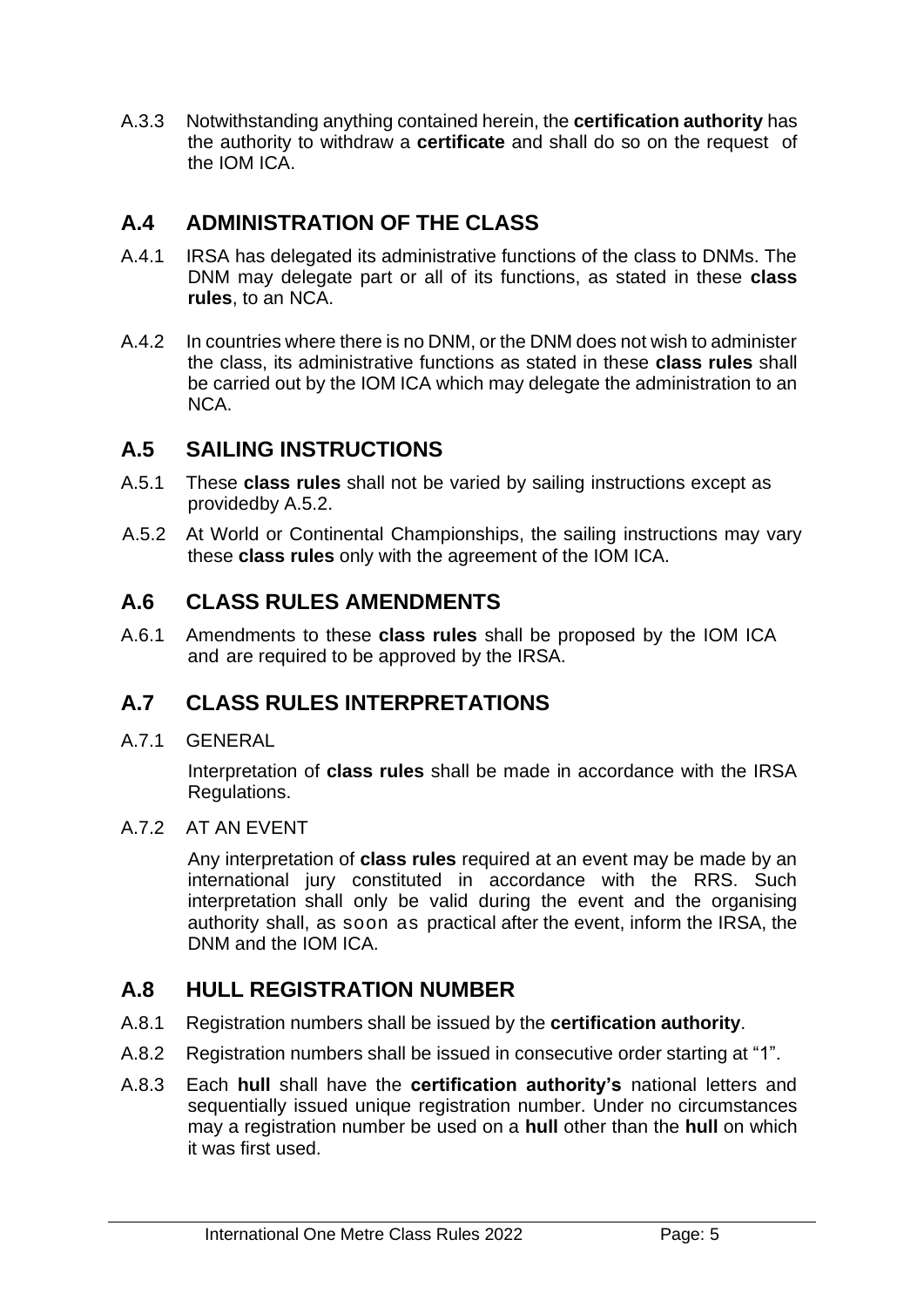A.3.3 Notwithstanding anything contained herein, the **certification authority** has the authority to withdraw a **certificate** and shall do so on the request of the IOM ICA.

# **A.4 ADMINISTRATION OF THE CLASS**

- A.4.1 IRSA has delegated its administrative functions of the class to DNMs. The DNM may delegate part or all of its functions, as stated in these **class rules**, to an NCA.
- A.4.2 In countries where there is no DNM, or the DNM does not wish to administer the class, its administrative functions as stated in these **class rules** shall be carried out by the IOM ICA which may delegate the administration to an NCA.

# **A.5 SAILING INSTRUCTIONS**

- A.5.1 These **class rules** shall not be varied by sailing instructions except as providedby A.5.2.
- A.5.2 At World or Continental Championships, the sailing instructions may vary these **class rules** only with the agreement of the IOM ICA.

# **A.6 CLASS RULES AMENDMENTS**

A.6.1 Amendments to these **class rules** shall be proposed by the IOM ICA and are required to be approved by the IRSA.

# **A.7 CLASS RULES INTERPRETATIONS**

A.7.1 GENERAL

Interpretation of **class rules** shall be made in accordance with the IRSA Regulations.

A.7.2 AT AN EVENT

Any interpretation of **class rules** required at an event may be made by an international jury constituted in accordance with the RRS. Such interpretation shall only be valid during the event and the organising authority shall, as soon as practical after the event, inform the IRSA, the DNM and the IOM ICA.

# **A.8 HULL REGISTRATION NUMBER**

- A.8.1 Registration numbers shall be issued by the **certification authority**.
- A.8.2 Registration numbers shall be issued in consecutive order starting at "1".
- A.8.3 Each **hull** shall have the **certification authority's** national letters and sequentially issued unique registration number. Under no circumstances may a registration number be used on a **hull** other than the **hull** on which it was first used.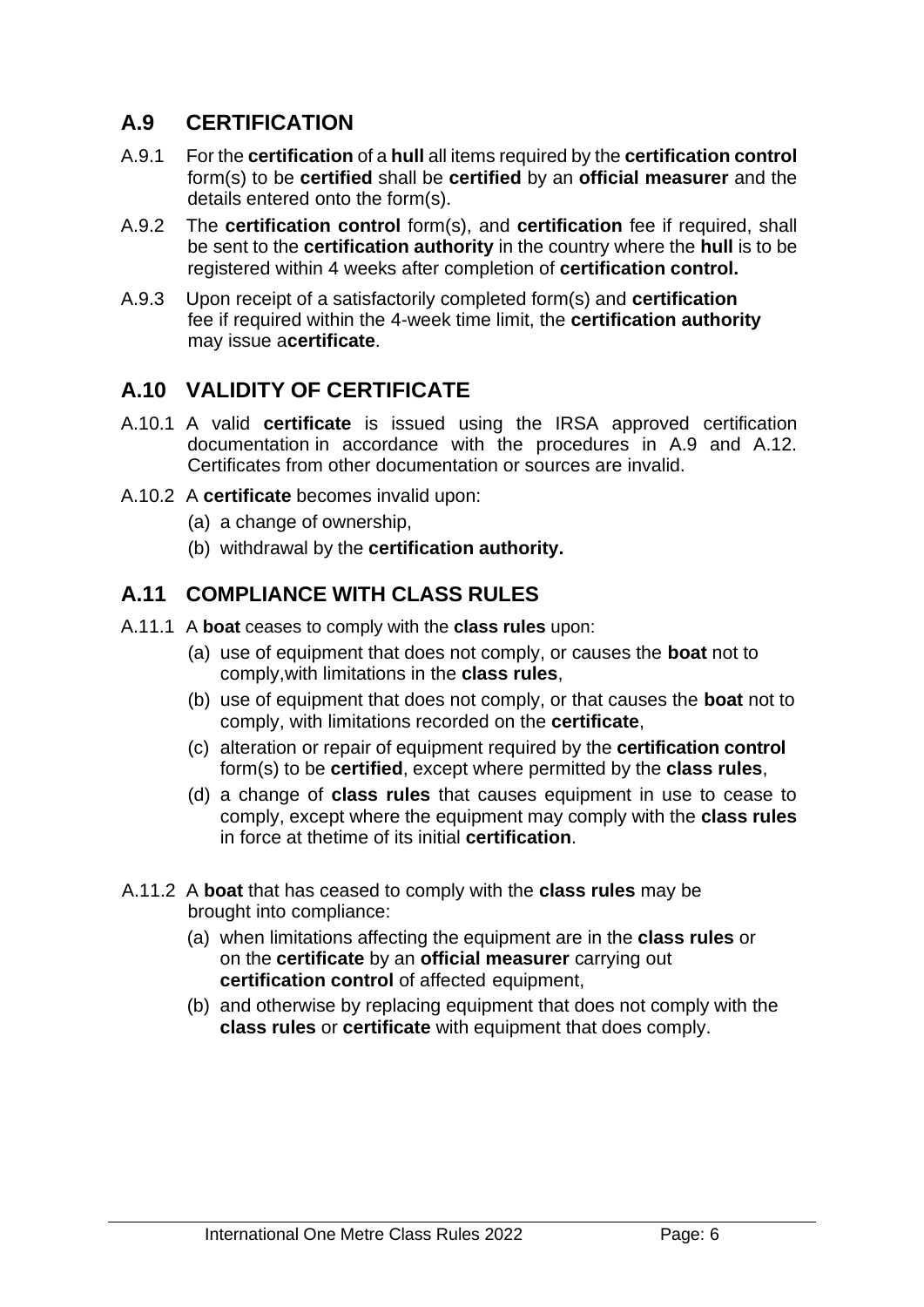# **A.9 CERTIFICATION**

- A.9.1 For the **certification** of a **hull** all items required by the **certification control** form(s) to be **certified** shall be **certified** by an **official measurer** and the details entered onto the form(s).
- A.9.2 The **certification control** form(s), and **certification** fee if required, shall be sent to the **certification authority** in the country where the **hull** is to be registered within 4 weeks after completion of **certification control.**
- A.9.3 Upon receipt of a satisfactorily completed form(s) and **certification**  fee if required within the 4-week time limit, the **certification authority**  may issue a**certificate**.

# **A.10 VALIDITY OF CERTIFICATE**

- A.10.1 A valid **certificate** is issued using the IRSA approved certification documentation in accordance with the procedures in A.9 and A.12. Certificates from other documentation or sources are invalid.
- A.10.2 A **certificate** becomes invalid upon:
	- (a) a change of ownership,
	- (b) withdrawal by the **certification authority.**

## **A.11 COMPLIANCE WITH CLASS RULES**

- A.11.1 A **boat** ceases to comply with the **class rules** upon:
	- (a) use of equipment that does not comply, or causes the **boat** not to comply,with limitations in the **class rules**,
	- (b) use of equipment that does not comply, or that causes the **boat** not to comply, with limitations recorded on the **certificate**,
	- (c) alteration or repair of equipment required by the **certification control** form(s) to be **certified**, except where permitted by the **class rules**,
	- (d) a change of **class rules** that causes equipment in use to cease to comply, except where the equipment may comply with the **class rules**  in force at thetime of its initial **certification**.
- A.11.2 A **boat** that has ceased to comply with the **class rules** may be brought into compliance:
	- (a) when limitations affecting the equipment are in the **class rules** or on the **certificate** by an **official measurer** carrying out **certification control** of affected equipment,
	- (b) and otherwise by replacing equipment that does not comply with the **class rules** or **certificate** with equipment that does comply.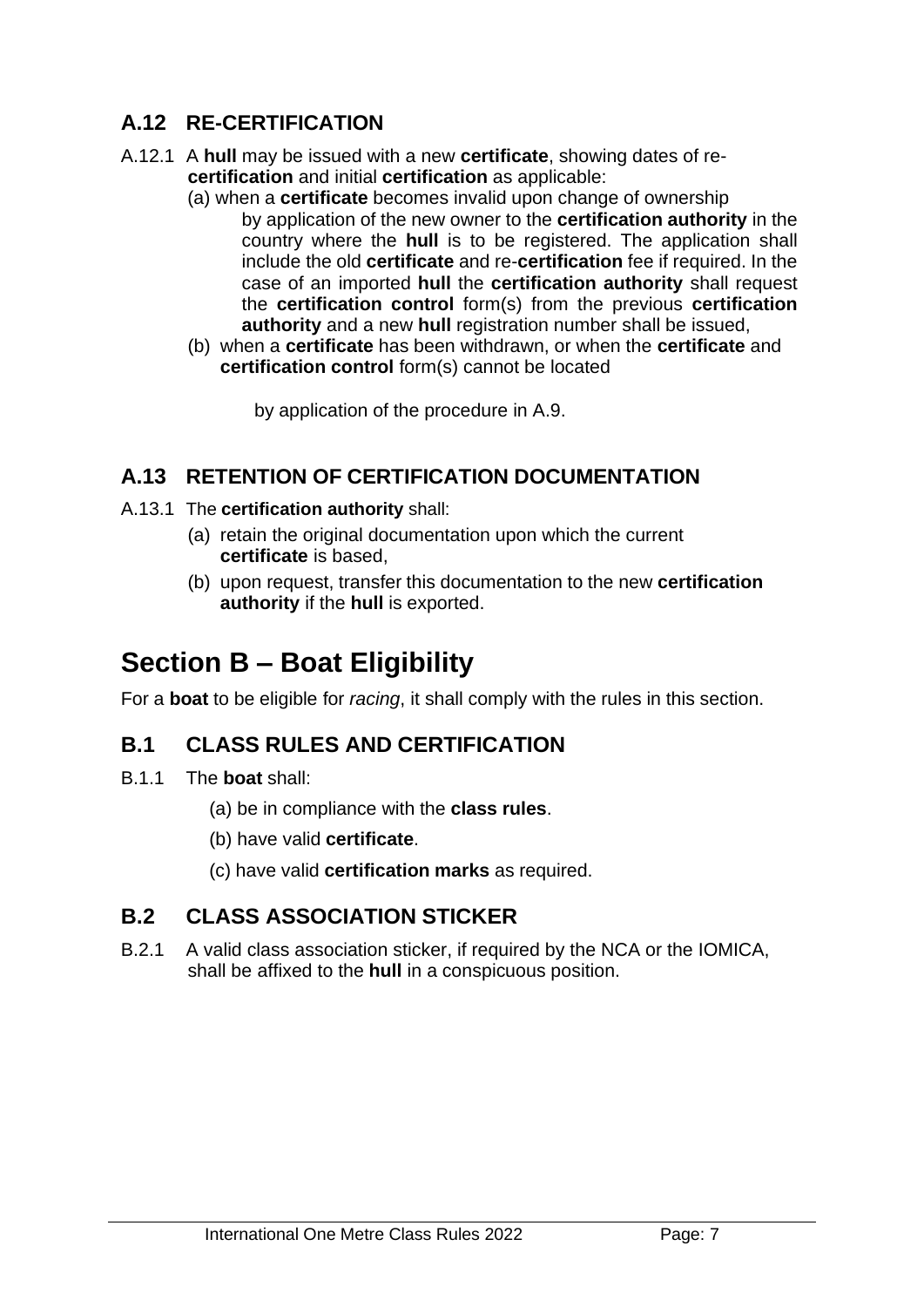# **A.12 RE-CERTIFICATION**

- A.12.1 A **hull** may be issued with a new **certificate**, showing dates of re**certification** and initial **certification** as applicable:
	- (a) when a **certificate** becomes invalid upon change of ownership by application of the new owner to the **certification authority** in the country where the **hull** is to be registered. The application shall include the old **certificate** and re-**certification** fee if required. In the case of an imported **hull** the **certification authority** shall request the **certification control** form(s) from the previous **certification authority** and a new **hull** registration number shall be issued,
	- (b) when a **certificate** has been withdrawn, or when the **certificate** and **certification control** form(s) cannot be located

by application of the procedure in A.9.

# **A.13 RETENTION OF CERTIFICATION DOCUMENTATION**

- A.13.1 The **certification authority** shall:
	- (a) retain the original documentation upon which the current **certificate** is based,
	- (b) upon request, transfer this documentation to the new **certification authority** if the **hull** is exported.

# **Section B – Boat Eligibility**

For a **boat** to be eligible for *racing*, it shall comply with the rules in this section.

# **B.1 CLASS RULES AND CERTIFICATION**

- B.1.1 The **boat** shall:
	- (a) be in compliance with the **class rules**.
	- (b) have valid **certificate**.
	- (c) have valid **certification marks** as required.

# **B.2 CLASS ASSOCIATION STICKER**

B.2.1 A valid class association sticker, if required by the NCA or the IOMICA, shall be affixed to the **hull** in a conspicuous position.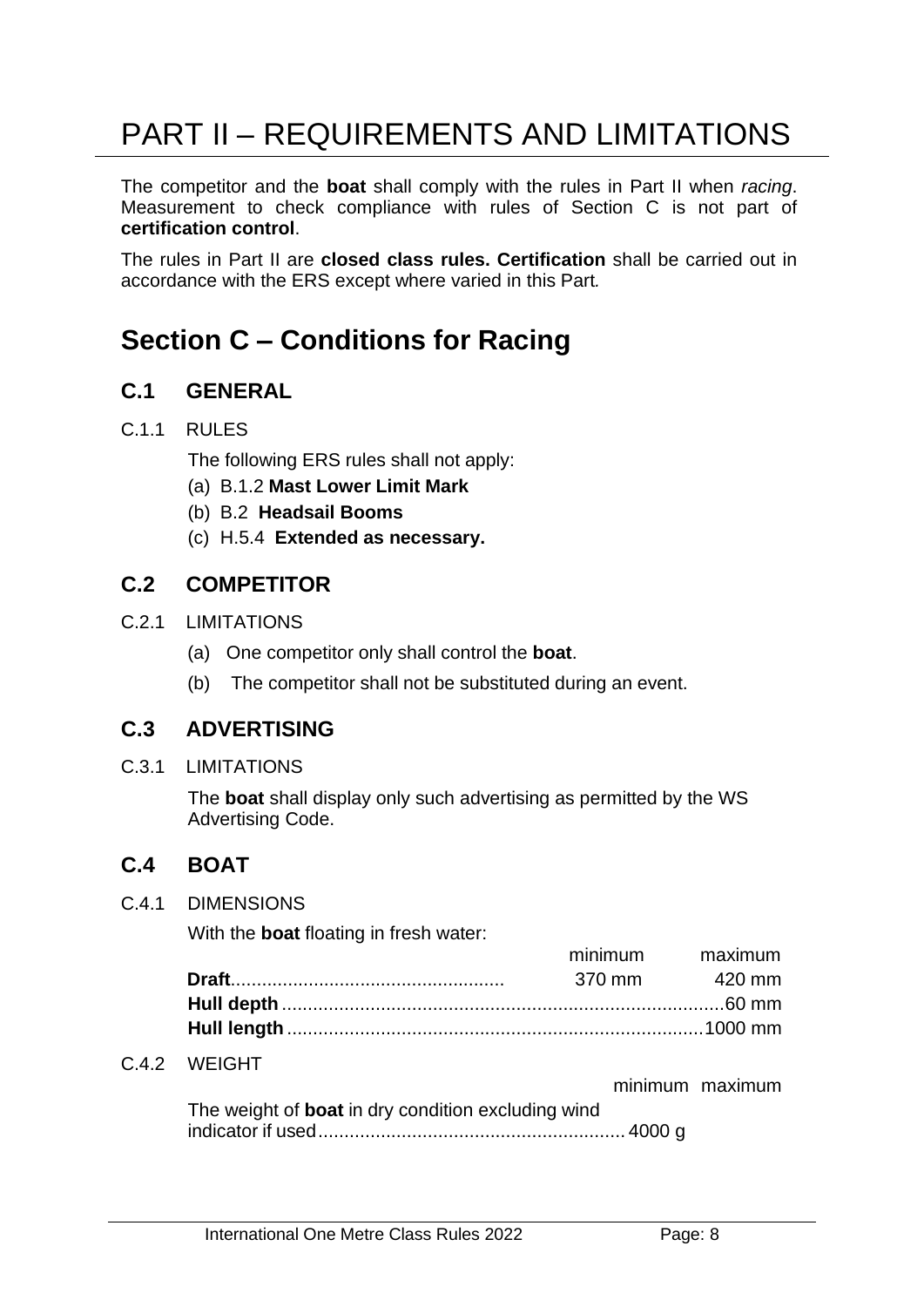# PART II – REQUIREMENTS AND LIMITATIONS

The competitor and the **boat** shall comply with the rules in Part II when *racing*. Measurement to check compliance with rules of Section C is not part of **certification control**.

The rules in Part II are **closed class rules. Certification** shall be carried out in accordance with the ERS except where varied in this Part*.*

# **Section C – Conditions for Racing**

## **C.1 GENERAL**

#### C.1.1 RULES

The following ERS rules shall not apply:

(a) B.1.2 **Mast Lower Limit Mark**

- (b) B.2 **Headsail Booms**
- (c) H.5.4 **Extended as necessary.**

## **C.2 COMPETITOR**

- C.2.1 LIMITATIONS
	- (a) One competitor only shall control the **boat**.
	- (b) The competitor shall not be substituted during an event.

#### **C.3 ADVERTISING**

C.3.1 LIMITATIONS

The **boat** shall display only such advertising as permitted by the WS Advertising Code.

# **C.4 BOAT**

#### C.4.1 DIMENSIONS

With the **boat** floating in fresh water:

|  | THIHHUILI TIRAIHUILI |
|--|----------------------|
|  | 370 mm 420 mm        |
|  |                      |
|  |                      |
|  |                      |

#### C.4.2 WEIGHT

minimum maximum

minimum maximum

| The weight of <b>boat</b> in dry condition excluding wind |  |
|-----------------------------------------------------------|--|
|                                                           |  |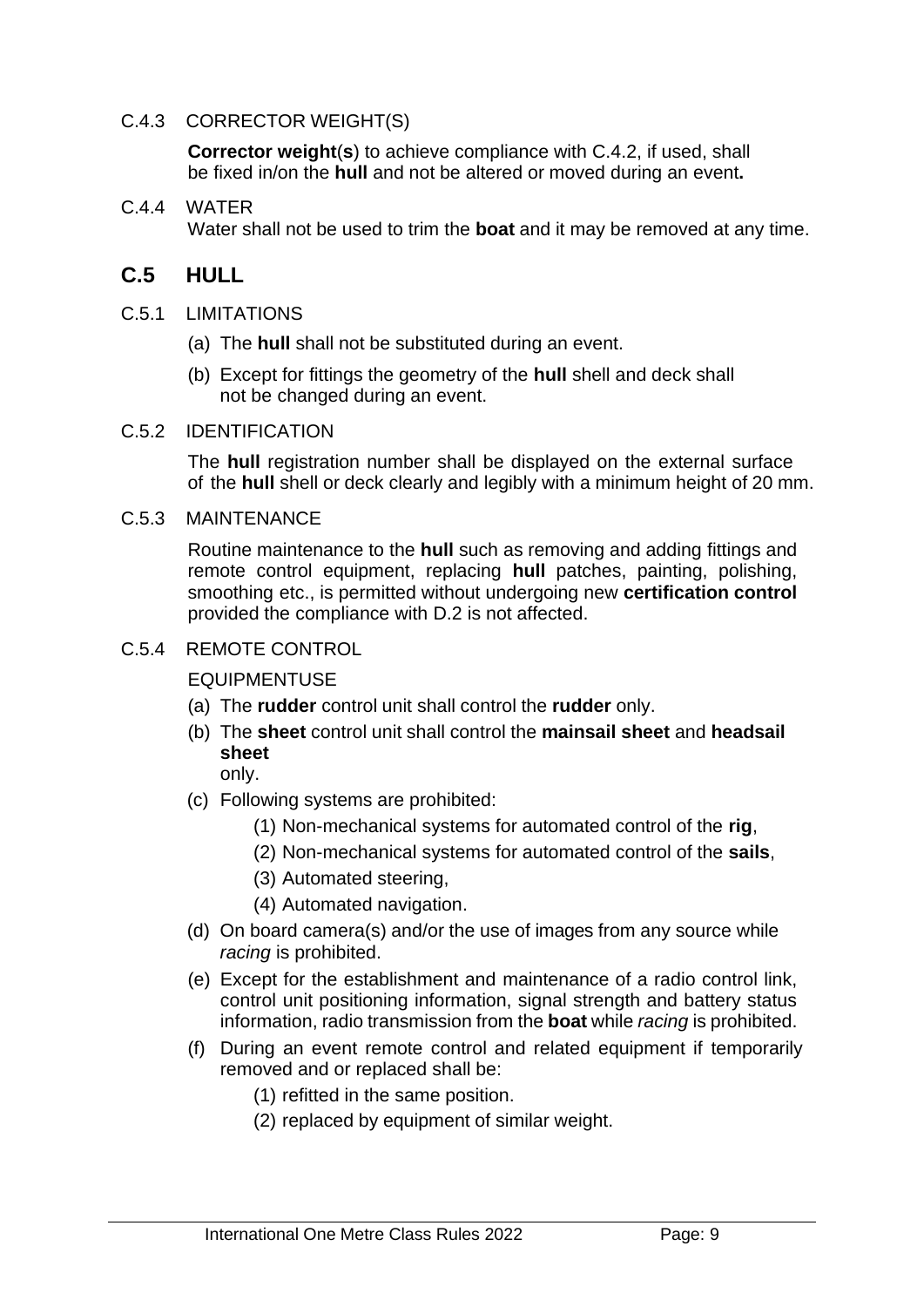#### C.4.3 CORRECTOR WEIGHT(S)

**Corrector weight**(**s**) to achieve compliance with C.4.2, if used, shall be fixed in/on the **hull** and not be altered or moved during an event**.**

#### C.4.4 WATER

Water shall not be used to trim the **boat** and it may be removed at any time.

## **C.5 HULL**

- C.5.1 LIMITATIONS
	- (a) The **hull** shall not be substituted during an event.
	- (b) Except for fittings the geometry of the **hull** shell and deck shall not be changed during an event.

#### C.5.2 IDENTIFICATION

The **hull** registration number shall be displayed on the external surface of the **hull** shell or deck clearly and legibly with a minimum height of 20 mm.

#### C.5.3 MAINTENANCE

Routine maintenance to the **hull** such as removing and adding fittings and remote control equipment, replacing **hull** patches, painting, polishing, smoothing etc., is permitted without undergoing new **certification control**  provided the compliance with D.2 is not affected.

#### C.5.4 REMOTE CONTROL

EQUIPMENTUSE

- (a) The **rudder** control unit shall control the **rudder** only.
- (b) The **sheet** control unit shall control the **mainsail sheet** and **headsail sheet**

only.

- (c) Following systems are prohibited:
	- (1) Non-mechanical systems for automated control of the **rig**,
	- (2) Non-mechanical systems for automated control of the **sails**,
	- (3) Automated steering,
	- (4) Automated navigation.
- (d) On board camera(s) and/or the use of images from any source while *racing* is prohibited.
- (e) Except for the establishment and maintenance of a radio control link, control unit positioning information, signal strength and battery status information, radio transmission from the **boat** while *racing* is prohibited.
- (f) During an event remote control and related equipment if temporarily removed and or replaced shall be:
	- (1) refitted in the same position.
	- (2) replaced by equipment of similar weight.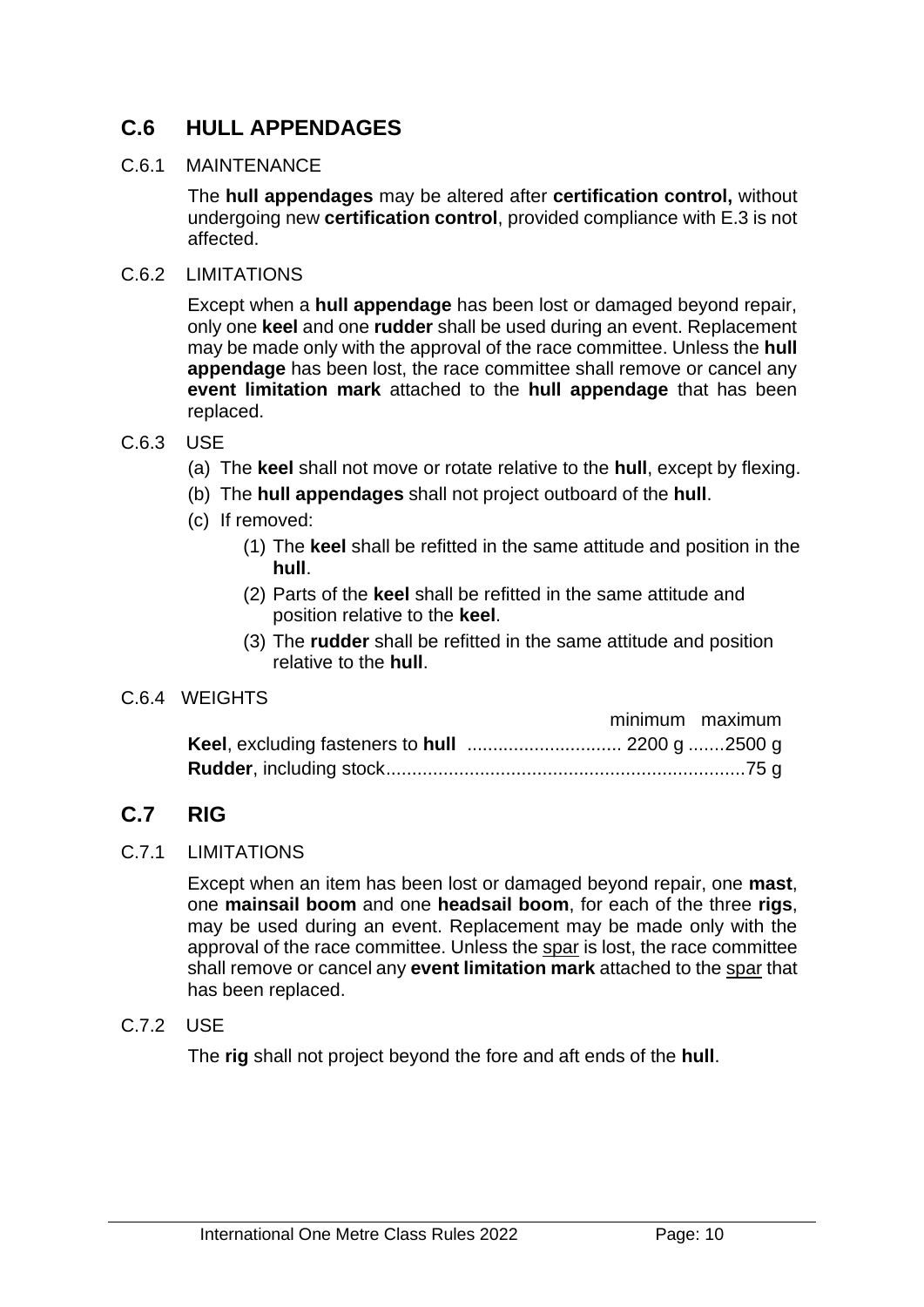# **C.6 HULL APPENDAGES**

#### C.6.1 MAINTENANCE

The **hull appendages** may be altered after **certification control,** without undergoing new **certification control**, provided compliance with E.3 is not affected.

#### C.6.2 LIMITATIONS

Except when a **hull appendage** has been lost or damaged beyond repair, only one **keel** and one **rudder** shall be used during an event. Replacement may be made only with the approval of the race committee. Unless the **hull appendage** has been lost, the race committee shall remove or cancel any **event limitation mark** attached to the **hull appendage** that has been replaced.

#### C.6.3 USE

- (a) The **keel** shall not move or rotate relative to the **hull**, except by flexing.
- (b) The **hull appendages** shall not project outboard of the **hull**.
- (c) If removed:
	- (1) The **keel** shall be refitted in the same attitude and position in the **hull**.
	- (2) Parts of the **keel** shall be refitted in the same attitude and position relative to the **keel**.
	- (3) The **rudder** shall be refitted in the same attitude and position relative to the **hull**.

#### C.6.4 WEIGHTS

|  | minimum maximum |
|--|-----------------|
|  |                 |
|  |                 |

# **C.7 RIG**

#### C.7.1 LIMITATIONS

Except when an item has been lost or damaged beyond repair, one **mast**, one **mainsail boom** and one **headsail boom**, for each of the three **rigs**, may be used during an event. Replacement may be made only with the approval of the race committee. Unless the spar is lost, the race committee shall remove or cancel any **event limitation mark** attached to the spar that has been replaced.

#### C.7.2 USE

The **rig** shall not project beyond the fore and aft ends of the **hull**.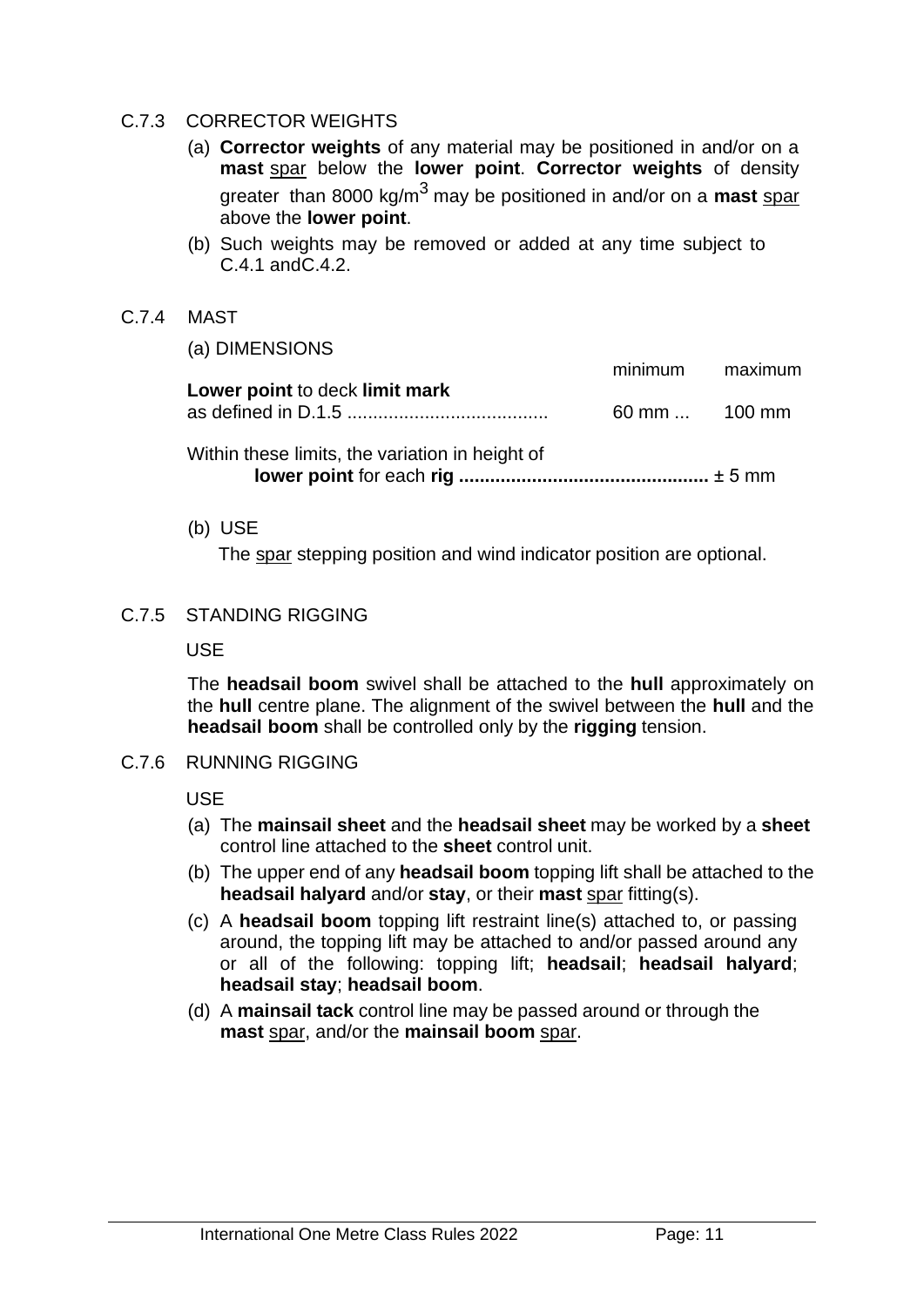#### C.7.3 CORRECTOR WEIGHTS

- (a) **Corrector weights** of any material may be positioned in and/or on a **mast** spar below the **lower point**. **Corrector weights** of density greater than 8000 kg/m3 may be positioned in and/or on a **mast** spar above the **lower point**.
- (b) Such weights may be removed or added at any time subject to C.4.1 andC.4.2.
- C.7.4 MAST

| (a) DIMENSIONS                                  |                 |  |
|-------------------------------------------------|-----------------|--|
|                                                 | minimum maximum |  |
| Lower point to deck limit mark                  | 60 mm  100 mm   |  |
| Within these limits, the variation in height of |                 |  |

(b) USE

The spar stepping position and wind indicator position are optional.

#### C.7.5 STANDING RIGGING

USE

The **headsail boom** swivel shall be attached to the **hull** approximately on the **hull** centre plane. The alignment of the swivel between the **hull** and the **headsail boom** shall be controlled only by the **rigging** tension.

C.7.6 RUNNING RIGGING

USE

- (a) The **mainsail sheet** and the **headsail sheet** may be worked by a **sheet** control line attached to the **sheet** control unit.
- (b) The upper end of any **headsail boom** topping lift shall be attached to the **headsail halyard** and/or **stay**, or their **mast** spar fitting(s).
- (c) A **headsail boom** topping lift restraint line(s) attached to, or passing around, the topping lift may be attached to and/or passed around any or all of the following: topping lift; **headsail**; **headsail halyard**; **headsail stay**; **headsail boom**.
- (d) A **mainsail tack** control line may be passed around or through the **mast** spar, and/or the **mainsail boom** spar.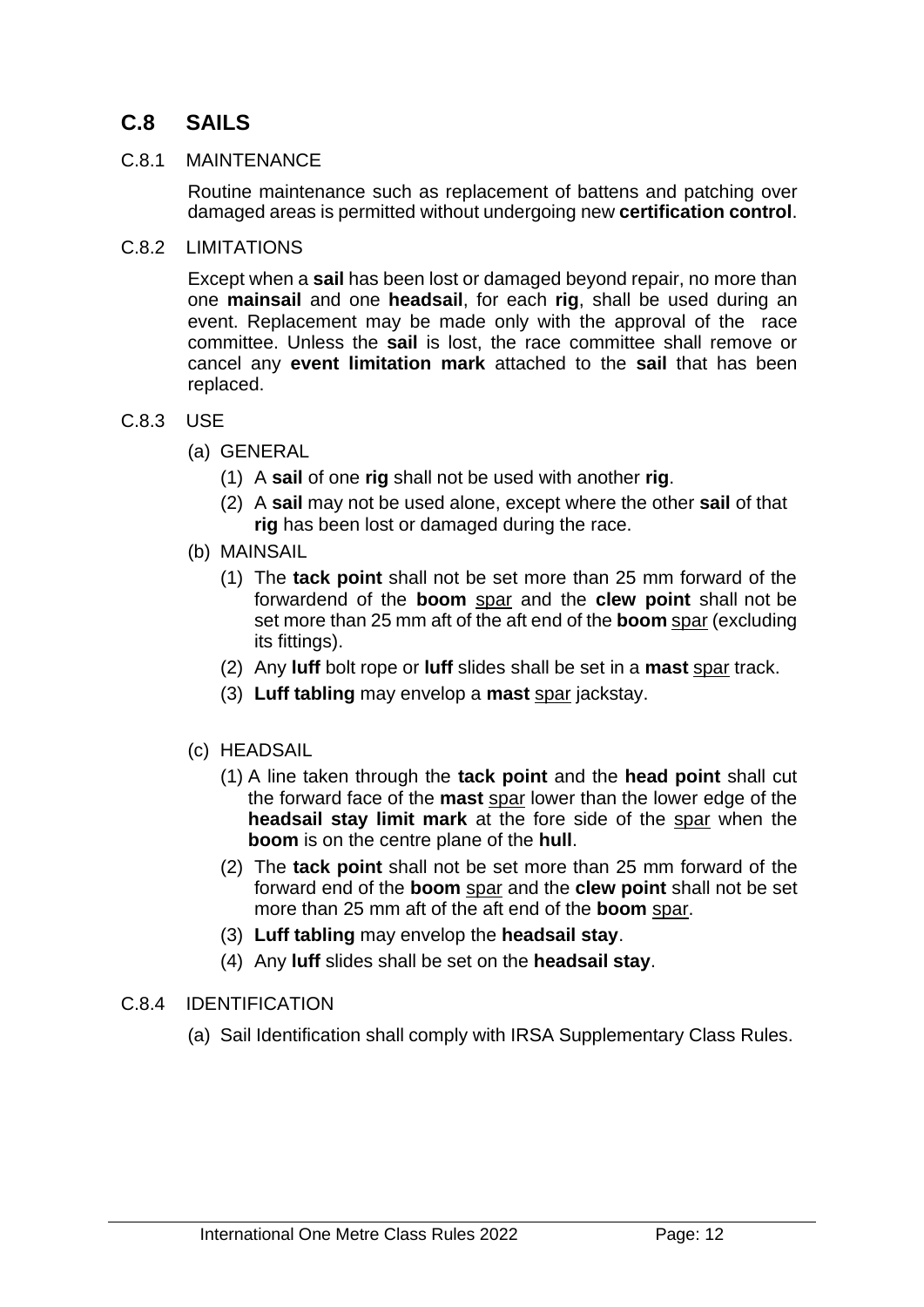# **C.8 SAILS**

#### C.8.1 MAINTENANCE

Routine maintenance such as replacement of battens and patching over damaged areas is permitted without undergoing new **certification control**.

C.8.2 LIMITATIONS

Except when a **sail** has been lost or damaged beyond repair, no more than one **mainsail** and one **headsail**, for each **rig**, shall be used during an event. Replacement may be made only with the approval of the race committee. Unless the **sail** is lost, the race committee shall remove or cancel any **event limitation mark** attached to the **sail** that has been replaced.

#### C.8.3 USE

- (a) GENERAL
	- (1) A **sail** of one **rig** shall not be used with another **rig**.
	- (2) A **sail** may not be used alone, except where the other **sail** of that **rig** has been lost or damaged during the race.
- (b) MAINSAIL
	- (1) The **tack point** shall not be set more than 25 mm forward of the forwardend of the **boom** spar and the **clew point** shall not be set more than 25 mm aft of the aft end of the **boom** spar (excluding its fittings).
	- (2) Any **luff** bolt rope or **luff** slides shall be set in a **mast** spar track.
	- (3) **Luff tabling** may envelop a **mast** spar jackstay.
- (c) HEADSAIL
	- (1) A line taken through the **tack point** and the **head point** shall cut the forward face of the **mast** spar lower than the lower edge of the **headsail stay limit mark** at the fore side of the spar when the **boom** is on the centre plane of the **hull**.
	- (2) The **tack point** shall not be set more than 25 mm forward of the forward end of the **boom** spar and the **clew point** shall not be set more than 25 mm aft of the aft end of the **boom** spar.
	- (3) **Luff tabling** may envelop the **headsail stay**.
	- (4) Any **luff** slides shall be set on the **headsail stay**.

#### C.8.4 IDENTIFICATION

(a) Sail Identification shall comply with IRSA Supplementary Class Rules.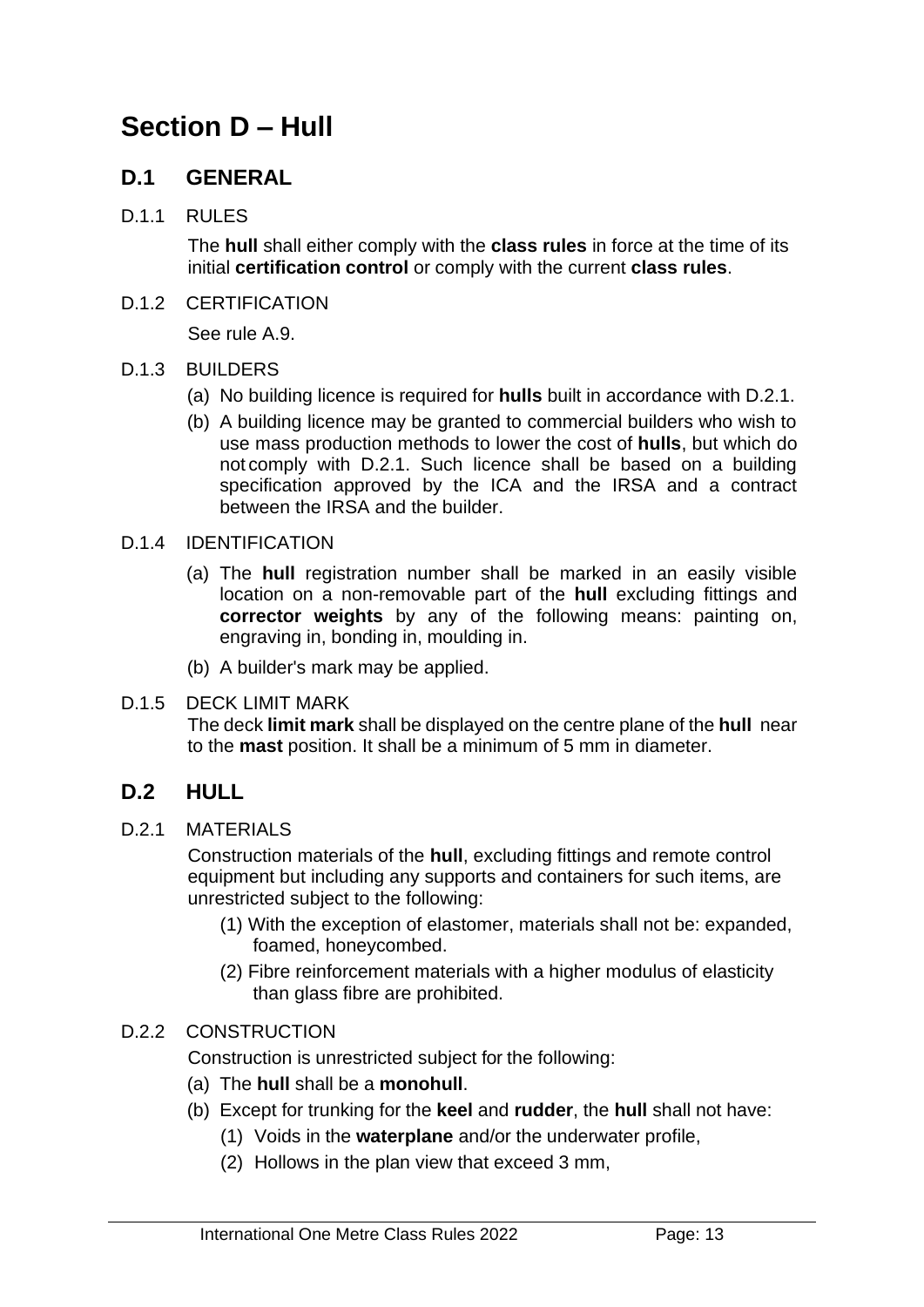# **Section D – Hull**

# **D.1 GENERAL**

#### D.1.1 RULES

The **hull** shall either comply with the **class rules** in force at the time of its initial **certification control** or comply with the current **class rules**.

#### D.1.2 CERTIFICATION

See rule A.9.

#### D.1.3 BUILDERS

- (a) No building licence is required for **hulls** built in accordance with D.2.1.
- (b) A building licence may be granted to commercial builders who wish to use mass production methods to lower the cost of **hulls**, but which do not comply with D.2.1. Such licence shall be based on a building specification approved by the ICA and the IRSA and a contract between the IRSA and the builder.
- D.1.4 IDENTIFICATION
	- (a) The **hull** registration number shall be marked in an easily visible location on a non-removable part of the **hull** excluding fittings and **corrector weights** by any of the following means: painting on, engraving in, bonding in, moulding in.
	- (b) A builder's mark may be applied.

#### D.1.5 DECK LIMIT MARK The deck **limit mark** shall be displayed on the centre plane of the **hull** near to the **mast** position. It shall be a minimum of 5 mm in diameter.

# **D.2 HULL**

D.2.1 MATERIALS

Construction materials of the **hull**, excluding fittings and remote control equipment but including any supports and containers for such items, are unrestricted subject to the following:

- (1) With the exception of elastomer, materials shall not be: expanded, foamed, honeycombed.
- (2) Fibre reinforcement materials with a higher modulus of elasticity than glass fibre are prohibited.

#### D.2.2 CONSTRUCTION

Construction is unrestricted subject for the following:

- (a) The **hull** shall be a **monohull**.
- (b) Except for trunking for the **keel** and **rudder**, the **hull** shall not have:
	- (1) Voids in the **waterplane** and/or the underwater profile,
	- (2) Hollows in the plan view that exceed 3 mm,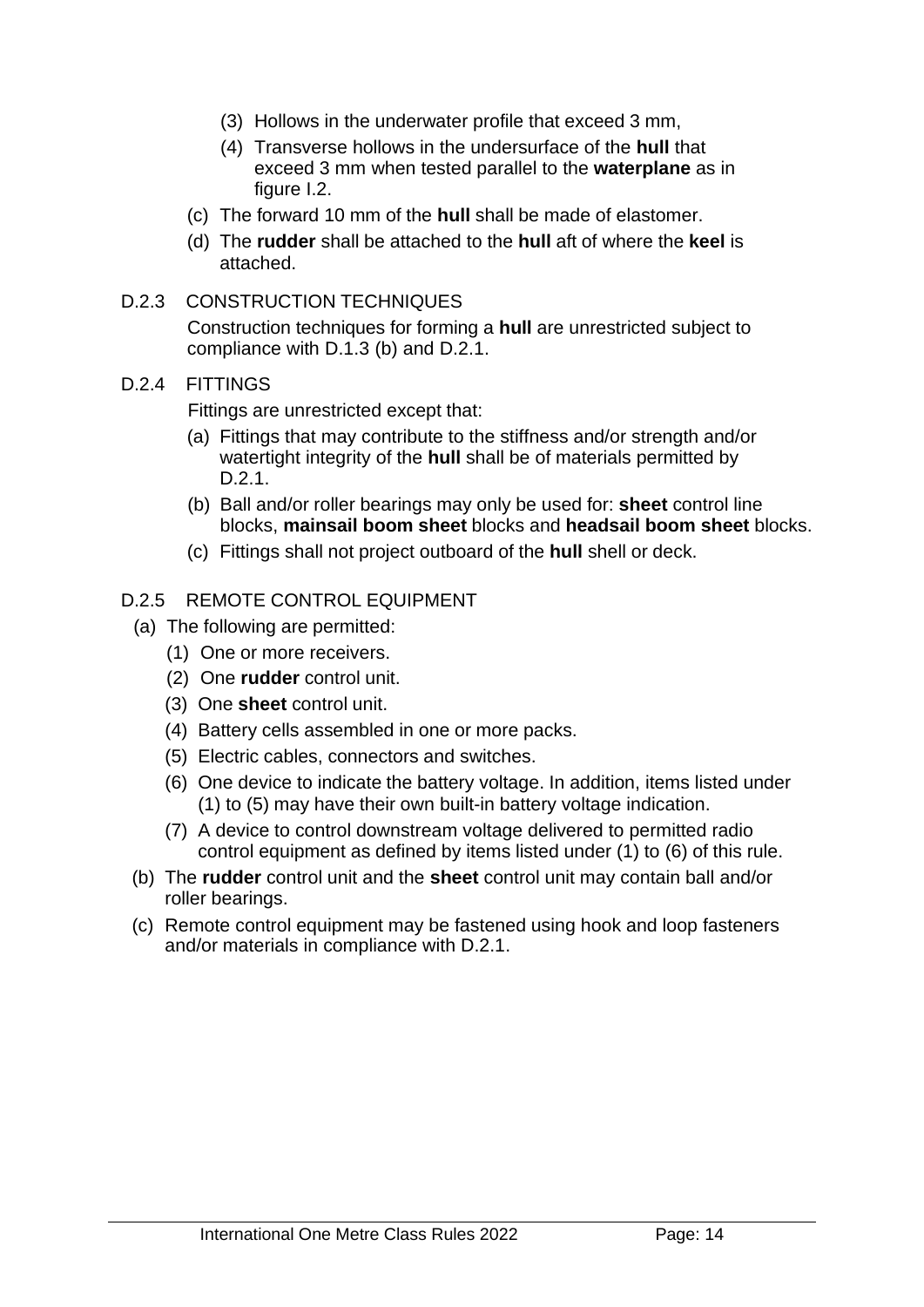- (3) Hollows in the underwater profile that exceed 3 mm,
- (4) Transverse hollows in the undersurface of the **hull** that exceed 3 mm when tested parallel to the **waterplane** as in figure I.2.
- (c) The forward 10 mm of the **hull** shall be made of elastomer.
- (d) The **rudder** shall be attached to the **hull** aft of where the **keel** is attached.

#### D.2.3 CONSTRUCTION TECHNIQUES

Construction techniques for forming a **hull** are unrestricted subject to compliance with D.1.3 (b) and D.2.1.

#### D.2.4 FITTINGS

Fittings are unrestricted except that:

- (a) Fittings that may contribute to the stiffness and/or strength and/or watertight integrity of the **hull** shall be of materials permitted by D.2.1.
- (b) Ball and/or roller bearings may only be used for: **sheet** control line blocks, **mainsail boom sheet** blocks and **headsail boom sheet** blocks.
- (c) Fittings shall not project outboard of the **hull** shell or deck.

#### D.2.5 REMOTE CONTROL EQUIPMENT

- (a) The following are permitted:
	- (1) One or more receivers.
	- (2) One **rudder** control unit.
	- (3) One **sheet** control unit.
	- (4) Battery cells assembled in one or more packs.
	- (5) Electric cables, connectors and switches.
	- (6) One device to indicate the battery voltage. In addition, items listed under (1) to (5) may have their own built-in battery voltage indication.
	- (7) A device to control downstream voltage delivered to permitted radio control equipment as defined by items listed under (1) to (6) of this rule.
- (b) The **rudder** control unit and the **sheet** control unit may contain ball and/or roller bearings.
- (c) Remote control equipment may be fastened using hook and loop fasteners and/or materials in compliance with D.2.1.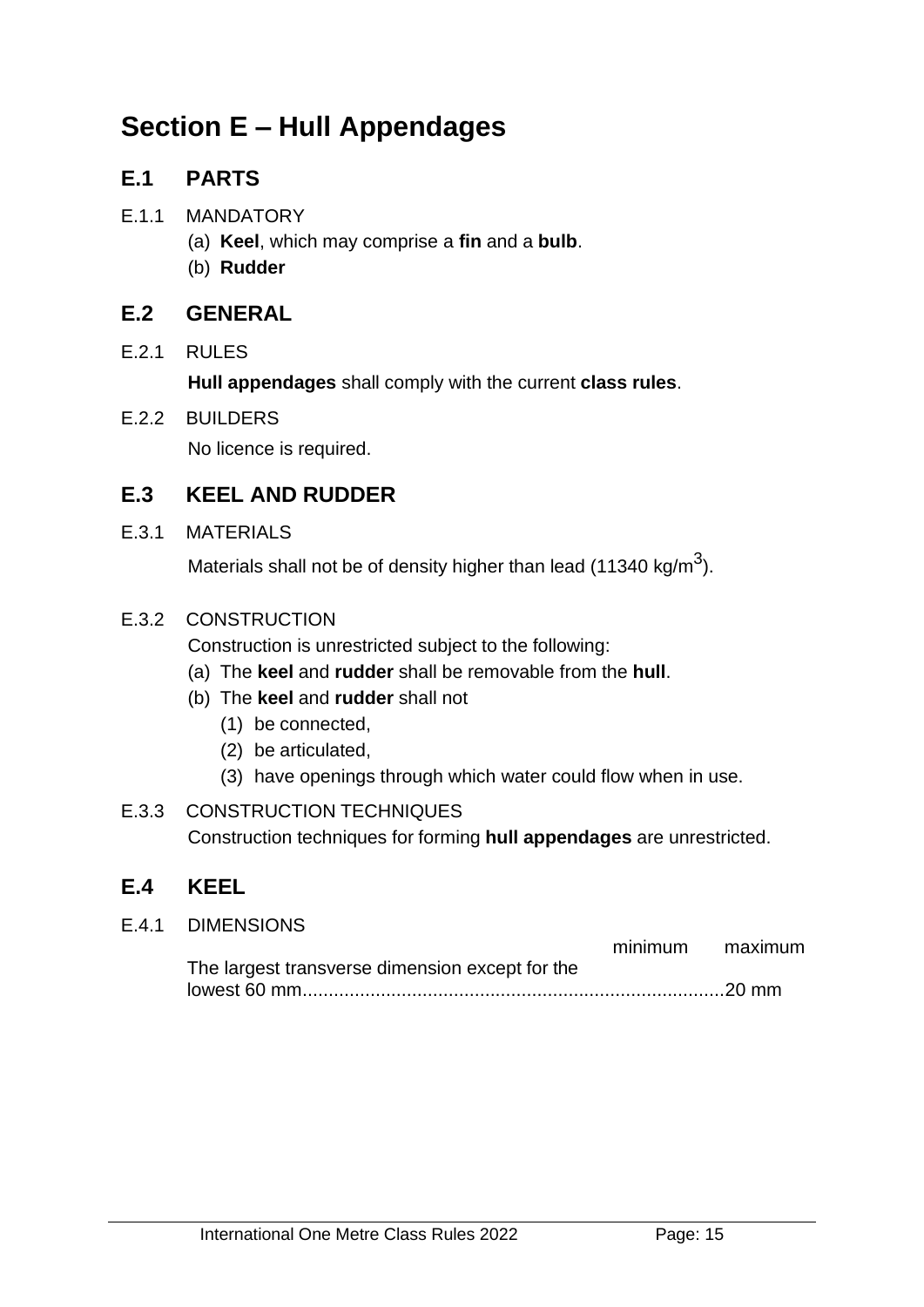# **Section E – Hull Appendages**

# **E.1 PARTS**

#### E.1.1 MANDATORY

- (a) **Keel**, which may comprise a **fin** and a **bulb**.
- (b) **Rudder**

# **E.2 GENERAL**

#### E.2.1 RULES

**Hull appendages** shall comply with the current **class rules**.

#### E.2.2 BUILDERS

No licence is required.

# **E.3 KEEL AND RUDDER**

E.3.1 MATERIALS

Materials shall not be of density higher than lead (11340 kg/m $^3$ ).

#### E.3.2 CONSTRUCTION

Construction is unrestricted subject to the following:

- (a) The **keel** and **rudder** shall be removable from the **hull**.
- (b) The **keel** and **rudder** shall not
	- (1) be connected,
	- (2) be articulated,
	- (3) have openings through which water could flow when in use.
- E.3.3 CONSTRUCTION TECHNIQUES Construction techniques for forming **hull appendages** are unrestricted.

# **E.4 KEEL**

| E.4.1 DIMENSIONS                                |                 |
|-------------------------------------------------|-----------------|
|                                                 | minimum maximum |
| The largest transverse dimension except for the |                 |
|                                                 |                 |
|                                                 |                 |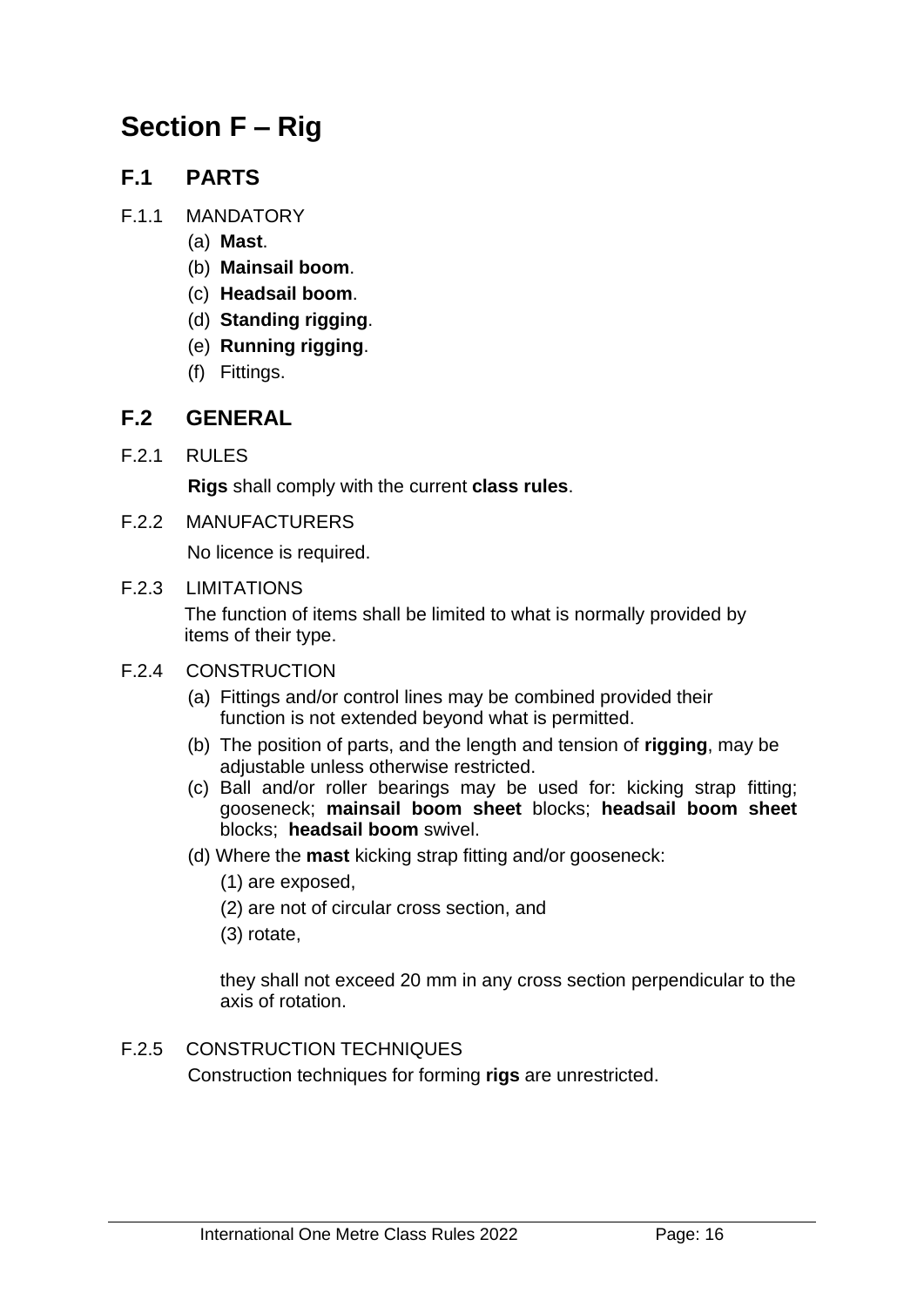# **Section F – Rig**

# **F.1 PARTS**

- F.1.1 MANDATORY
	- (a) **Mast**.
	- (b) **Mainsail boom**.
	- (c) **Headsail boom**.
	- (d) **Standing rigging**.
	- (e) **Running rigging**.
	- (f) Fittings.

# **F.2 GENERAL**

F.2.1 RULES

**Rigs** shall comply with the current **class rules**.

F.2.2 MANUFACTURERS

No licence is required.

F.2.3 LIMITATIONS

The function of items shall be limited to what is normally provided by items of their type.

- F.2.4 CONSTRUCTION
	- (a) Fittings and/or control lines may be combined provided their function is not extended beyond what is permitted.
	- (b) The position of parts, and the length and tension of **rigging**, may be adjustable unless otherwise restricted.
	- (c) Ball and/or roller bearings may be used for: kicking strap fitting; gooseneck; **mainsail boom sheet** blocks; **headsail boom sheet** blocks; **headsail boom** swivel.
	- (d) Where the **mast** kicking strap fitting and/or gooseneck:
		- (1) are exposed,
		- (2) are not of circular cross section, and
		- (3) rotate,

they shall not exceed 20 mm in any cross section perpendicular to the axis of rotation.

F.2.5 CONSTRUCTION TECHNIQUES

Construction techniques for forming **rigs** are unrestricted.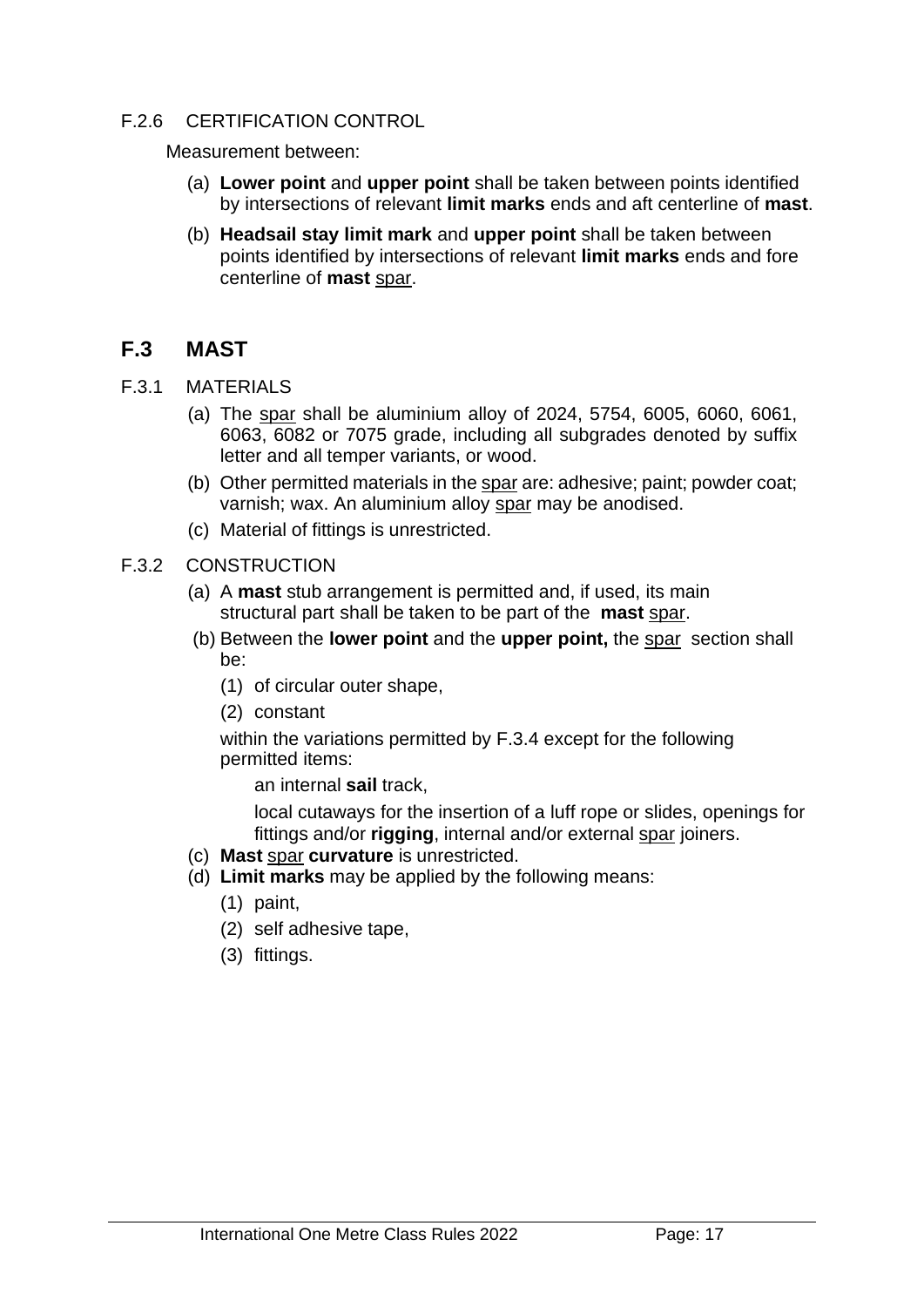#### F.2.6 CERTIFICATION CONTROL

Measurement between:

- (a) **Lower point** and **upper point** shall be taken between points identified by intersections of relevant **limit marks** ends and aft centerline of **mast**.
- (b) **Headsail stay limit mark** and **upper point** shall be taken between points identified by intersections of relevant **limit marks** ends and fore centerline of **mast** spar.

#### **F.3 MAST**

- F.3.1 MATERIALS
	- (a) The spar shall be aluminium alloy of 2024, 5754, 6005, 6060, 6061, 6063, 6082 or 7075 grade, including all subgrades denoted by suffix letter and all temper variants, or wood.
	- (b) Other permitted materials in the spar are: adhesive; paint; powder coat; varnish; wax. An aluminium alloy spar may be anodised.
	- (c) Material of fittings is unrestricted.
- F.3.2 CONSTRUCTION
	- (a) A **mast** stub arrangement is permitted and, if used, its main structural part shall be taken to be part of the **mast** spar.
	- (b) Between the **lower point** and the **upper point,** the spar section shall be:
		- (1) of circular outer shape,
		- (2) constant

within the variations permitted by F.3.4 except for the following permitted items:

an internal **sail** track,

local cutaways for the insertion of a luff rope or slides, openings for fittings and/or **rigging**, internal and/or external spar joiners.

- (c) **Mast** spar **curvature** is unrestricted.
- (d) **Limit marks** may be applied by the following means:
	- (1) paint,
	- (2) self adhesive tape,
	- (3) fittings.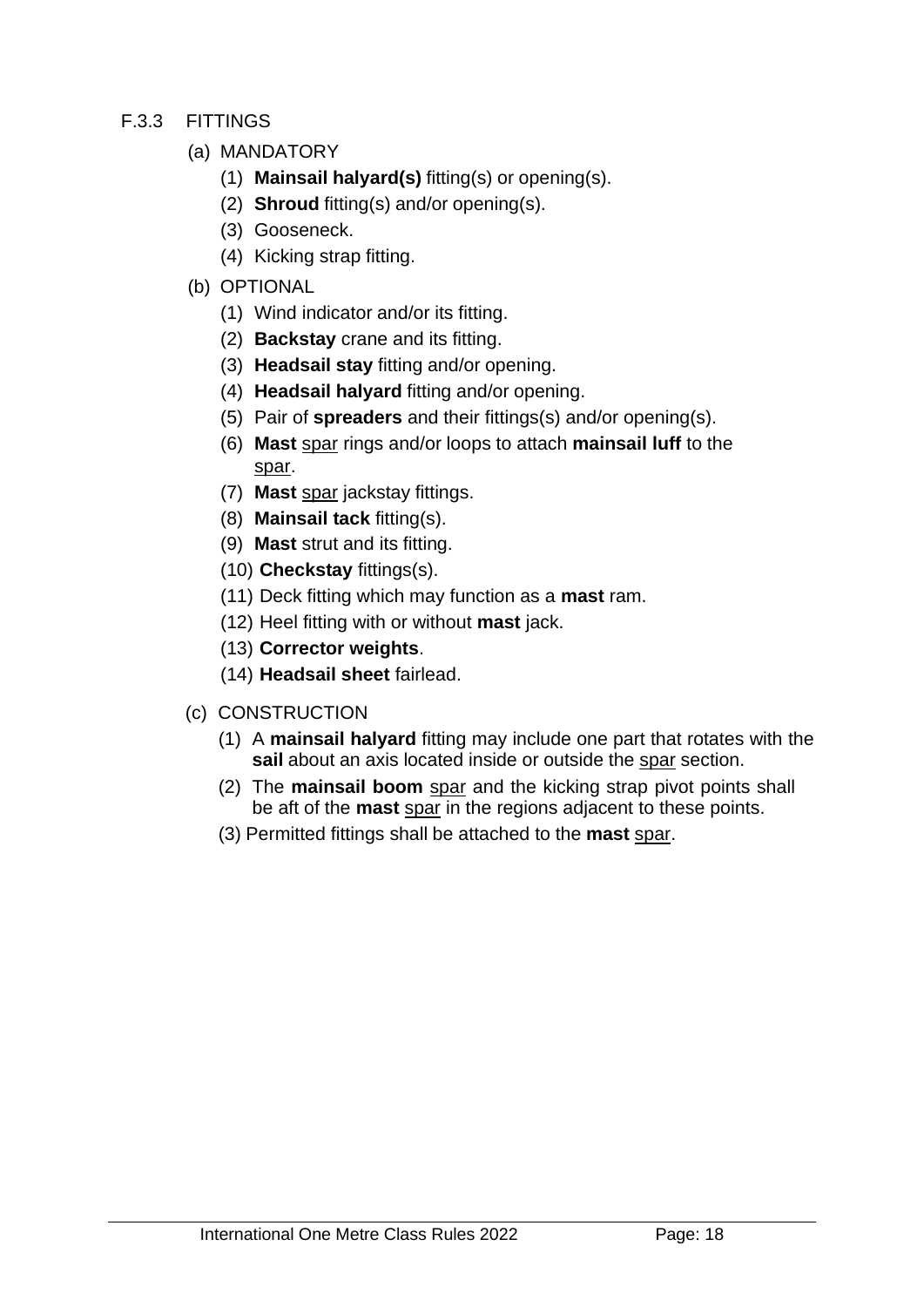#### F.3.3 FITTINGS

- (a) MANDATORY
	- (1) **Mainsail halyard(s)** fitting(s) or opening(s).
	- (2) **Shroud** fitting(s) and/or opening(s).
	- (3) Gooseneck.
	- (4) Kicking strap fitting.
- (b) OPTIONAL
	- (1) Wind indicator and/or its fitting.
	- (2) **Backstay** crane and its fitting.
	- (3) **Headsail stay** fitting and/or opening.
	- (4) **Headsail halyard** fitting and/or opening.
	- (5) Pair of **spreaders** and their fittings(s) and/or opening(s).
	- (6) **Mast** spar rings and/or loops to attach **mainsail luff** to the spar.
	- (7) **Mast** spar jackstay fittings.
	- (8) **Mainsail tack** fitting(s).
	- (9) **Mast** strut and its fitting.
	- (10) **Checkstay** fittings(s).
	- (11) Deck fitting which may function as a **mast** ram.
	- (12) Heel fitting with or without **mast** jack.
	- (13) **Corrector weights**.
	- (14) **Headsail sheet** fairlead.
- (c) CONSTRUCTION
	- (1) A **mainsail halyard** fitting may include one part that rotates with the **sail** about an axis located inside or outside the spar section.
	- (2) The **mainsail boom** spar and the kicking strap pivot points shall be aft of the **mast** spar in the regions adjacent to these points.
	- (3) Permitted fittings shall be attached to the **mast** spar.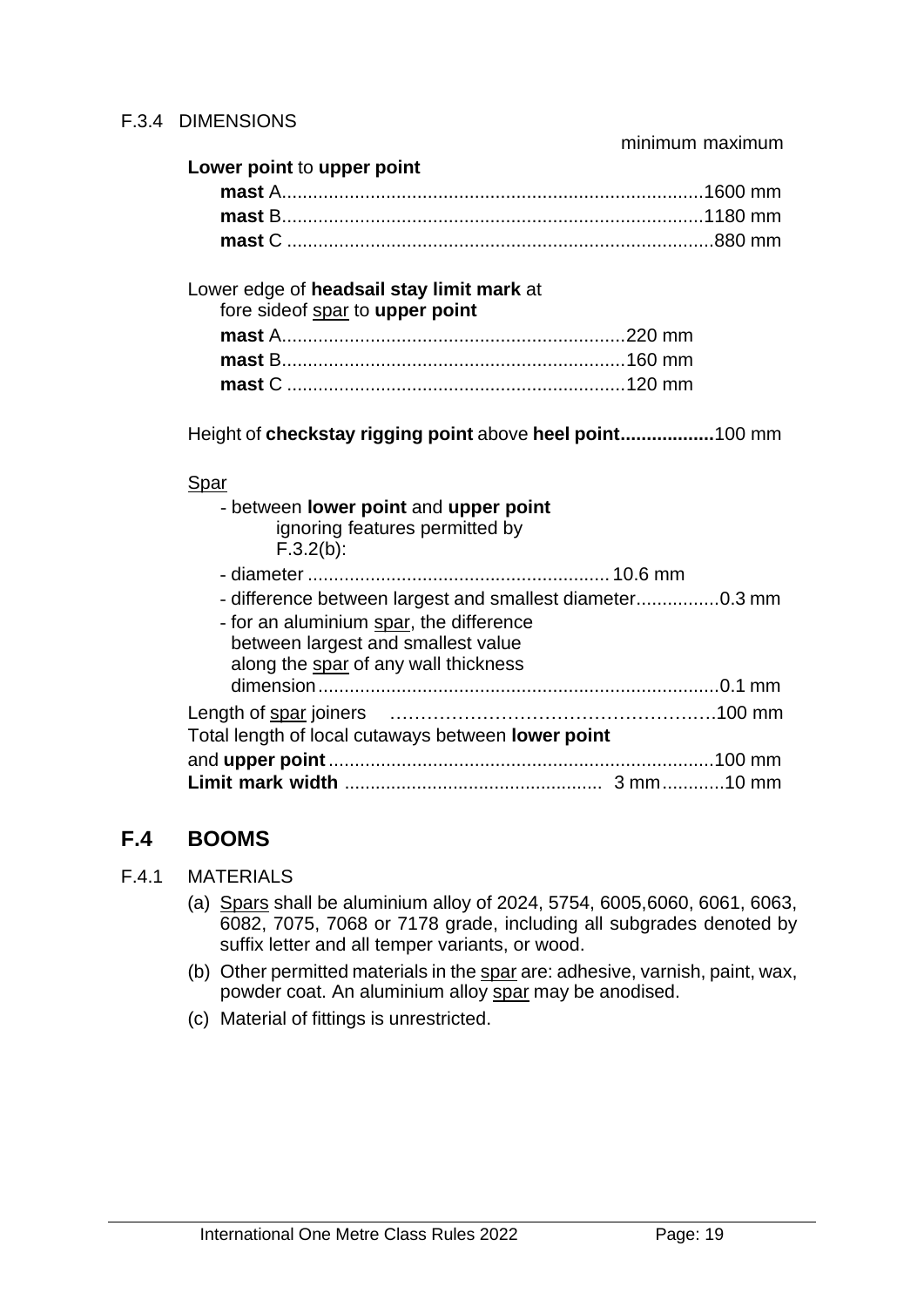| Lower point to upper point |  |
|----------------------------|--|
|                            |  |
|                            |  |
|                            |  |

Lower edge of **headsail stay limit mark** at fore sideof spar to **upper point**

Height of **checkstay rigging point** above **heel point..................**100 mm

#### **Spar**

| - between lower point and upper point<br>ignoring features permitted by<br>$F.3.2(b)$ :                                                                                           |  |
|-----------------------------------------------------------------------------------------------------------------------------------------------------------------------------------|--|
|                                                                                                                                                                                   |  |
| - difference between largest and smallest diameter0.3 mm<br>- for an aluminium spar, the difference<br>between largest and smallest value<br>along the spar of any wall thickness |  |
| Total length of local cutaways between lower point                                                                                                                                |  |
|                                                                                                                                                                                   |  |

# **F.4 BOOMS**

- F.4.1 MATERIALS
	- (a) Spars shall be aluminium alloy of 2024, 5754, 6005,6060, 6061, 6063, 6082, 7075, 7068 or 7178 grade, including all subgrades denoted by suffix letter and all temper variants, or wood.
	- (b) Other permitted materials in the spar are: adhesive, varnish, paint, wax, powder coat. An aluminium alloy spar may be anodised.
	- (c) Material of fittings is unrestricted.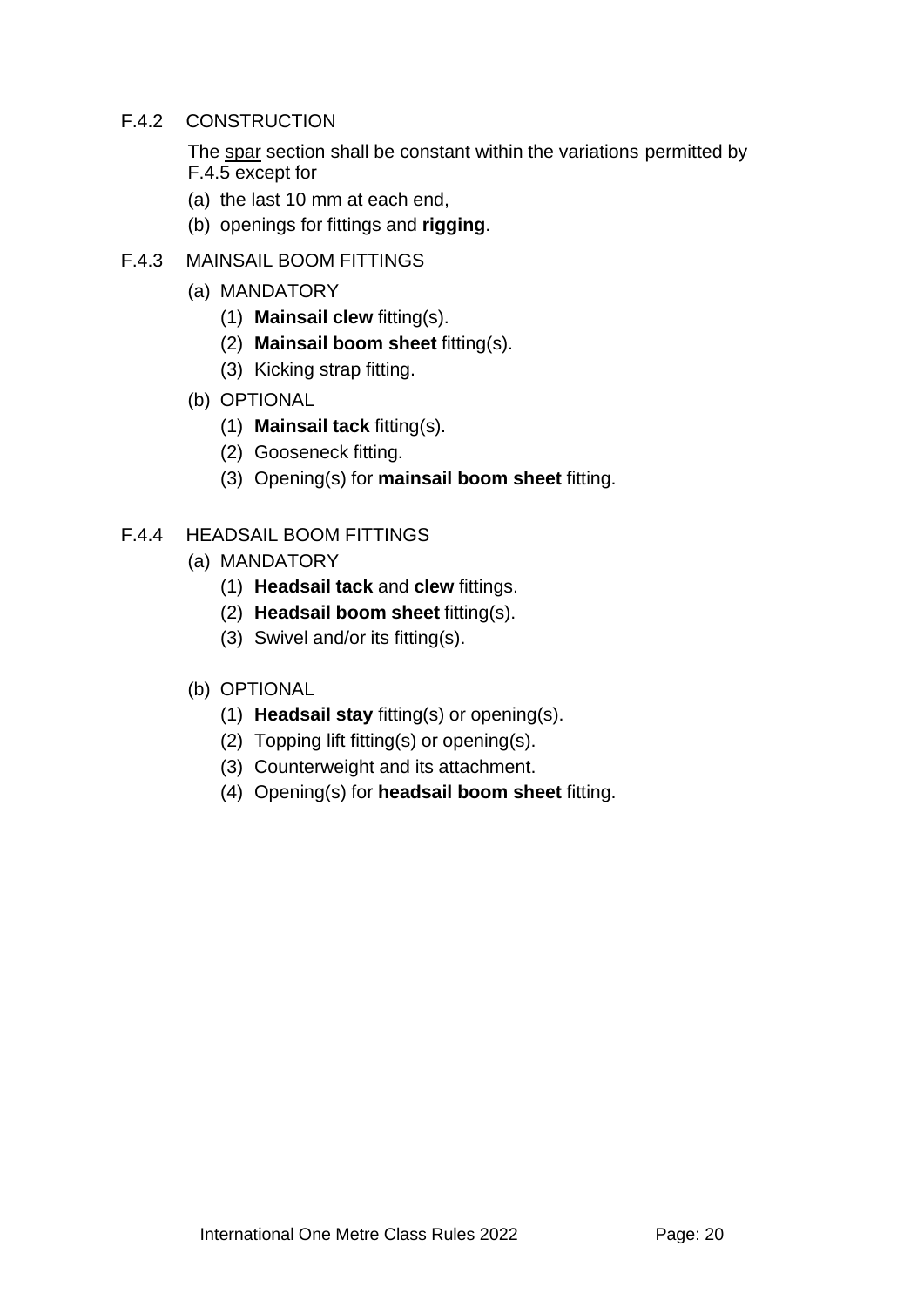#### F.4.2 CONSTRUCTION

The spar section shall be constant within the variations permitted by F.4.5 except for

- (a) the last 10 mm at each end,
- (b) openings for fittings and **rigging**.
- F.4.3 MAINSAIL BOOM FITTINGS
	- (a) MANDATORY
		- (1) **Mainsail clew** fitting(s).
		- (2) **Mainsail boom sheet** fitting(s).
		- (3) Kicking strap fitting.
	- (b) OPTIONAL
		- (1) **Mainsail tack** fitting(s).
		- (2) Gooseneck fitting.
		- (3) Opening(s) for **mainsail boom sheet** fitting.

#### F.4.4 HEADSAIL BOOM FITTINGS

- (a) MANDATORY
	- (1) **Headsail tack** and **clew** fittings.
	- (2) **Headsail boom sheet** fitting(s).
	- (3) Swivel and/or its fitting(s).

#### (b) OPTIONAL

- (1) **Headsail stay** fitting(s) or opening(s).
- (2) Topping lift fitting(s) or opening(s).
- (3) Counterweight and its attachment.
- (4) Opening(s) for **headsail boom sheet** fitting.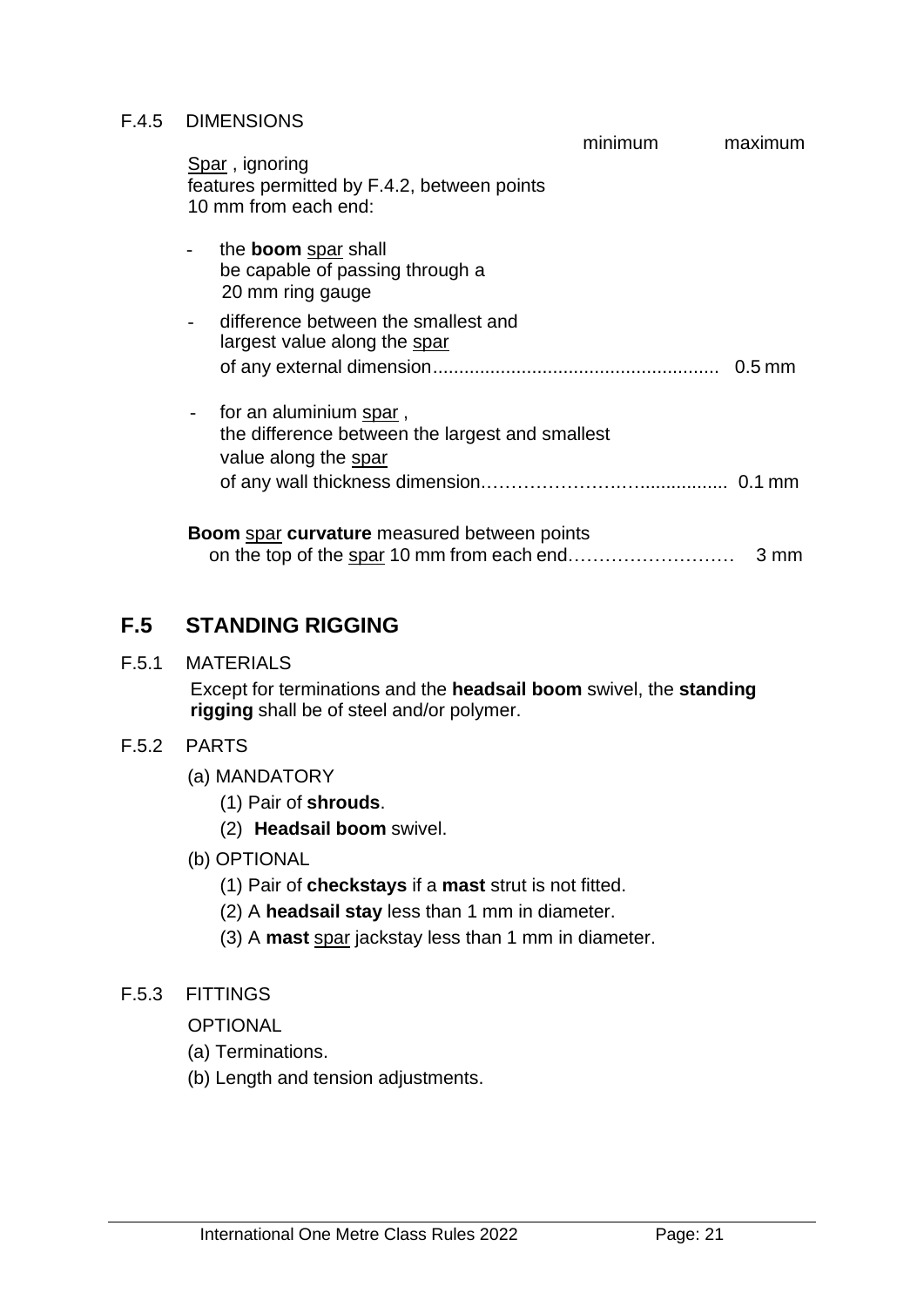#### F.4.5 DIMENSIONS

|                                                                                                   | minimum | maximum  |
|---------------------------------------------------------------------------------------------------|---------|----------|
| Spar, ignoring<br>features permitted by F.4.2, between points<br>10 mm from each end:             |         |          |
| the <b>boom</b> spar shall<br>be capable of passing through a<br>20 mm ring gauge                 |         |          |
| difference between the smallest and<br>largest value along the spar                               |         | $0.5$ mm |
| for an aluminium spar,<br>the difference between the largest and smallest<br>value along the spar |         |          |
| <b>Boom</b> spar curvature measured between points                                                |         | 3 mm     |

# **F.5 STANDING RIGGING**

F.5.1 MATERIALS

Except for terminations and the **headsail boom** swivel, the **standing rigging** shall be of steel and/or polymer.

#### F.5.2 PARTS

- (a) MANDATORY
	- (1) Pair of **shrouds**.
	- (2) **Headsail boom** swivel.
- (b) OPTIONAL
	- (1) Pair of **checkstays** if a **mast** strut is not fitted.
	- (2) A **headsail stay** less than 1 mm in diameter.
	- (3) A **mast** spar jackstay less than 1 mm in diameter.

#### F.5.3 FITTINGS

OPTIONAL

- (a) Terminations.
- (b) Length and tension adjustments.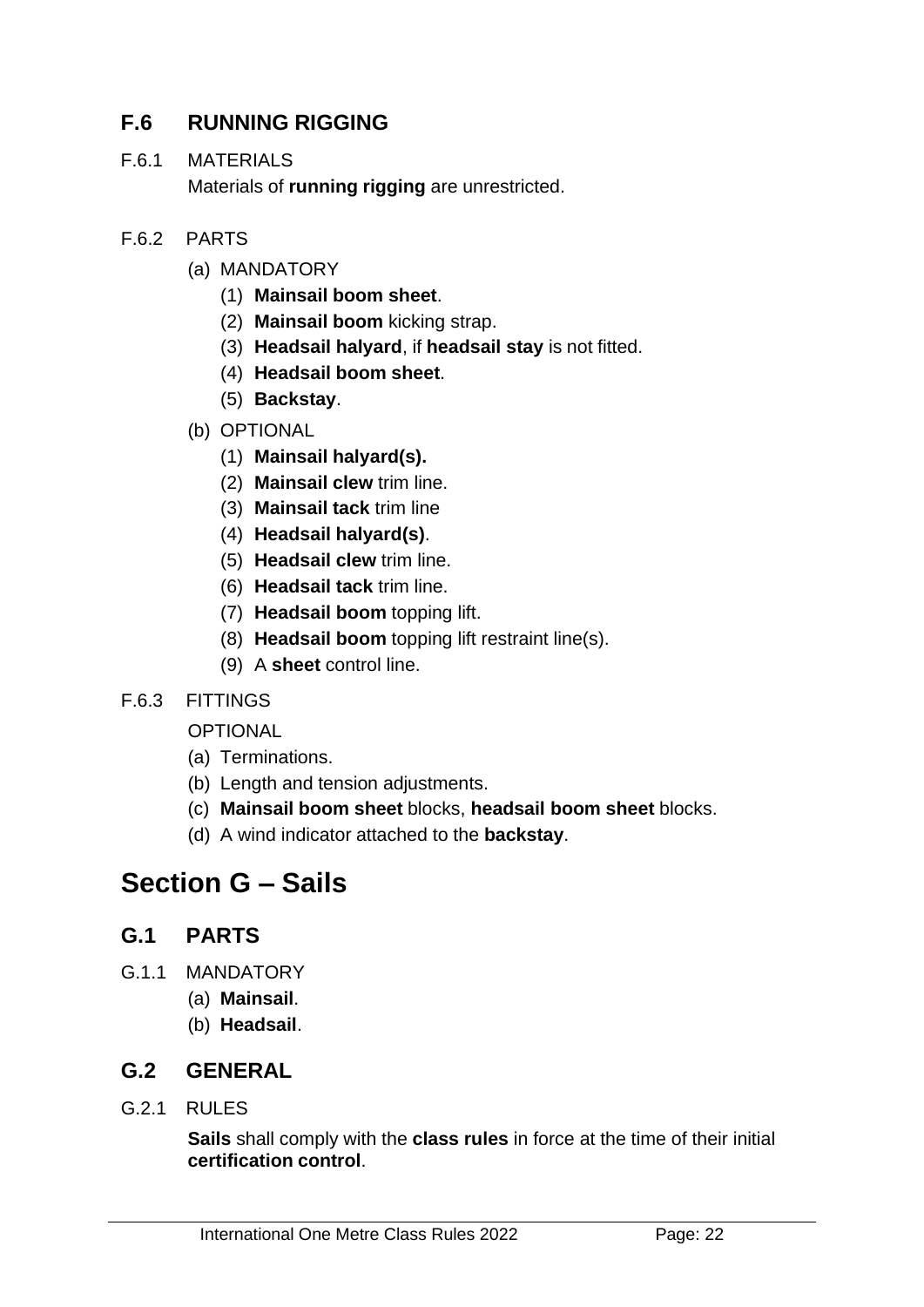# **F.6 RUNNING RIGGING**

#### F.6.1 MATERIALS

Materials of **running rigging** are unrestricted.

#### F.6.2 PARTS

- (a) MANDATORY
	- (1) **Mainsail boom sheet**.
	- (2) **Mainsail boom** kicking strap.
	- (3) **Headsail halyard**, if **headsail stay** is not fitted.
	- (4) **Headsail boom sheet**.
	- (5) **Backstay**.
- (b) OPTIONAL
	- (1) **Mainsail halyard(s).**
	- (2) **Mainsail clew** trim line.
	- (3) **Mainsail tack** trim line
	- (4) **Headsail halyard(s)**.
	- (5) **Headsail clew** trim line.
	- (6) **Headsail tack** trim line.
	- (7) **Headsail boom** topping lift.
	- (8) **Headsail boom** topping lift restraint line(s).
	- (9) A **sheet** control line.

#### F.6.3 FITTINGS

**OPTIONAL** 

- (a) Terminations.
- (b) Length and tension adjustments.
- (c) **Mainsail boom sheet** blocks, **headsail boom sheet** blocks.
- (d) A wind indicator attached to the **backstay**.

# **Section G – Sails**

# **G.1 PARTS**

- G.1.1 MANDATORY
	- (a) **Mainsail**.
	- (b) **Headsail**.

# **G.2 GENERAL**

G.2.1 RULES

**Sails** shall comply with the **class rules** in force at the time of their initial **certification control**.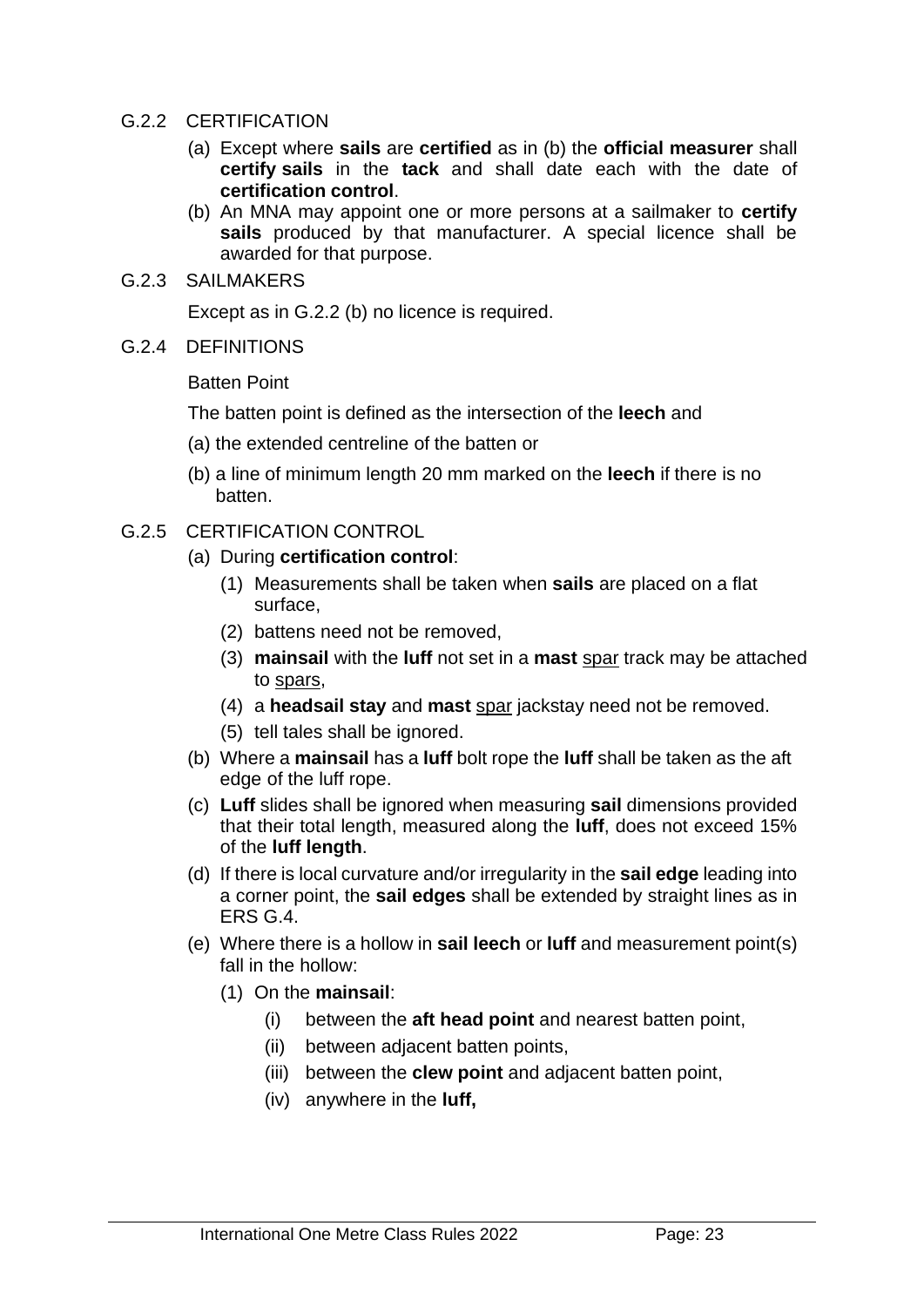#### G.2.2 CERTIFICATION

- (a) Except where **sails** are **certified** as in (b) the **official measurer** shall **certify sails** in the **tack** and shall date each with the date of **certification control**.
- (b) An MNA may appoint one or more persons at a sailmaker to **certify sails** produced by that manufacturer. A special licence shall be awarded for that purpose.
- G.2.3 SAILMAKERS

Except as in G.2.2 (b) no licence is required.

G.2.4 DEFINITIONS

Batten Point

The batten point is defined as the intersection of the **leech** and

- (a) the extended centreline of the batten or
- (b) a line of minimum length 20 mm marked on the **leech** if there is no batten.
- G.2.5 CERTIFICATION CONTROL
	- (a) During **certification control**:
		- (1) Measurements shall be taken when **sails** are placed on a flat surface,
		- (2) battens need not be removed,
		- (3) **mainsail** with the **luff** not set in a **mast** spar track may be attached to spars,
		- (4) a **headsail stay** and **mast** spar jackstay need not be removed.
		- (5) tell tales shall be ignored.
	- (b) Where a **mainsail** has a **luff** bolt rope the **luff** shall be taken as the aft edge of the luff rope.
	- (c) **Luff** slides shall be ignored when measuring **sail** dimensions provided that their total length, measured along the **luff**, does not exceed 15% of the **luff length**.
	- (d) If there is local curvature and/or irregularity in the **sail edge** leading into a corner point, the **sail edges** shall be extended by straight lines as in ERS G.4.
	- (e) Where there is a hollow in **sail leech** or **luff** and measurement point(s) fall in the hollow:
		- (1) On the **mainsail**:
			- (i) between the **aft head point** and nearest batten point,
			- (ii) between adjacent batten points,
			- (iii) between the **clew point** and adjacent batten point,
			- (iv) anywhere in the **luff,**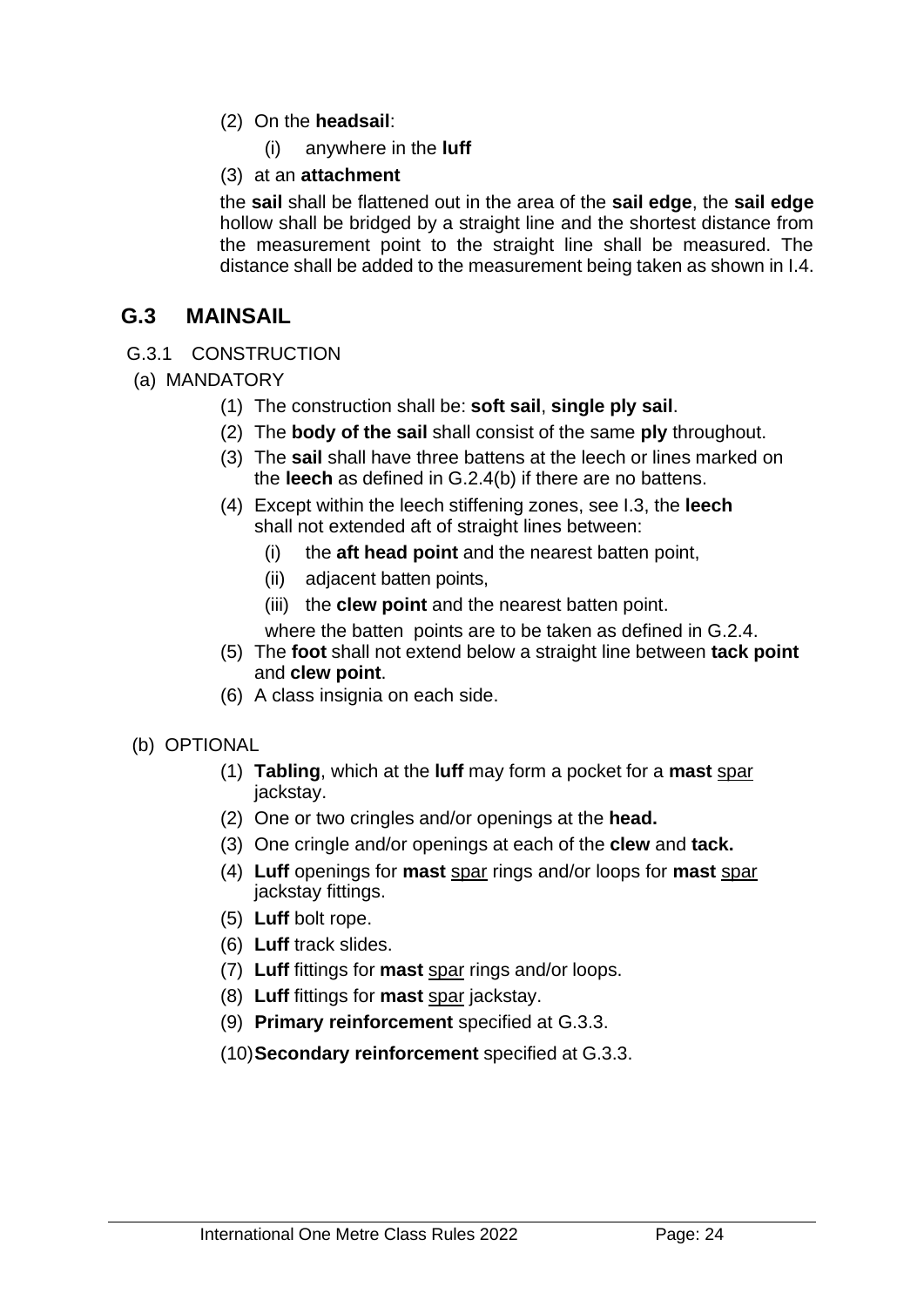- (2) On the **headsail**:
	- (i) anywhere in the **luff**

#### (3) at an **attachment**

the **sail** shall be flattened out in the area of the **sail edge**, the **sail edge** hollow shall be bridged by a straight line and the shortest distance from the measurement point to the straight line shall be measured. The distance shall be added to the measurement being taken as shown in I.4.

## **G.3 MAINSAIL**

#### G.3.1 CONSTRUCTION

- (a) MANDATORY
	- (1) The construction shall be: **soft sail**, **single ply sail**.
	- (2) The **body of the sail** shall consist of the same **ply** throughout.
	- (3) The **sail** shall have three battens at the leech or lines marked on the **leech** as defined in G.2.4(b) if there are no battens.
	- (4) Except within the leech stiffening zones, see I.3, the **leech** shall not extended aft of straight lines between:
		- (i) the **aft head point** and the nearest batten point,
		- (ii) adjacent batten points,
		- (iii) the **clew point** and the nearest batten point.

where the batten points are to be taken as defined in G.2.4.

- (5) The **foot** shall not extend below a straight line between **tack point** and **clew point**.
- (6) A class insignia on each side.

#### (b) OPTIONAL

- (1) **Tabling**, which at the **luff** may form a pocket for a **mast** spar jackstay.
- (2) One or two cringles and/or openings at the **head.**
- (3) One cringle and/or openings at each of the **clew** and **tack.**
- (4) **Luff** openings for **mast** spar rings and/or loops for **mast** spar jackstay fittings.
- (5) **Luff** bolt rope.
- (6) **Luff** track slides.
- (7) **Luff** fittings for **mast** spar rings and/or loops.
- (8) **Luff** fittings for **mast** spar jackstay.
- (9) **Primary reinforcement** specified at G.3.3.
- (10)**Secondary reinforcement** specified at G.3.3.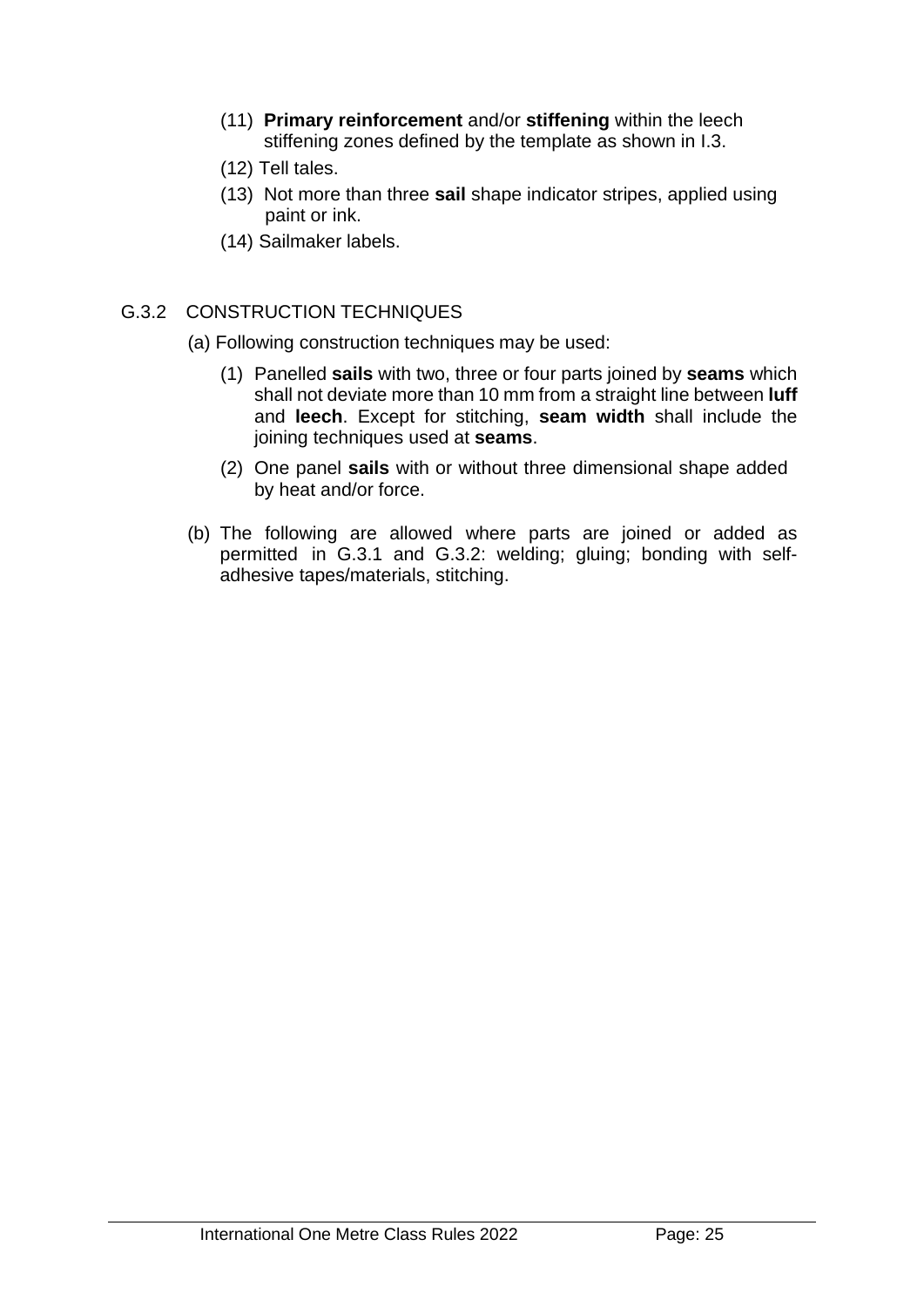- (11) **Primary reinforcement** and/or **stiffening** within the leech stiffening zones defined by the template as shown in I.3.
- (12) Tell tales.
- (13) Not more than three **sail** shape indicator stripes, applied using paint or ink.
- (14) Sailmaker labels.

#### G.3.2 CONSTRUCTION TECHNIQUES

- (a) Following construction techniques may be used:
	- (1) Panelled **sails** with two, three or four parts joined by **seams** which shall not deviate more than 10 mm from a straight line between **luff**  and **leech**. Except for stitching, **seam width** shall include the joining techniques used at **seams**.
	- (2) One panel **sails** with or without three dimensional shape added by heat and/or force.
- (b) The following are allowed where parts are joined or added as permitted in G.3.1 and G.3.2: welding; gluing; bonding with selfadhesive tapes/materials, stitching.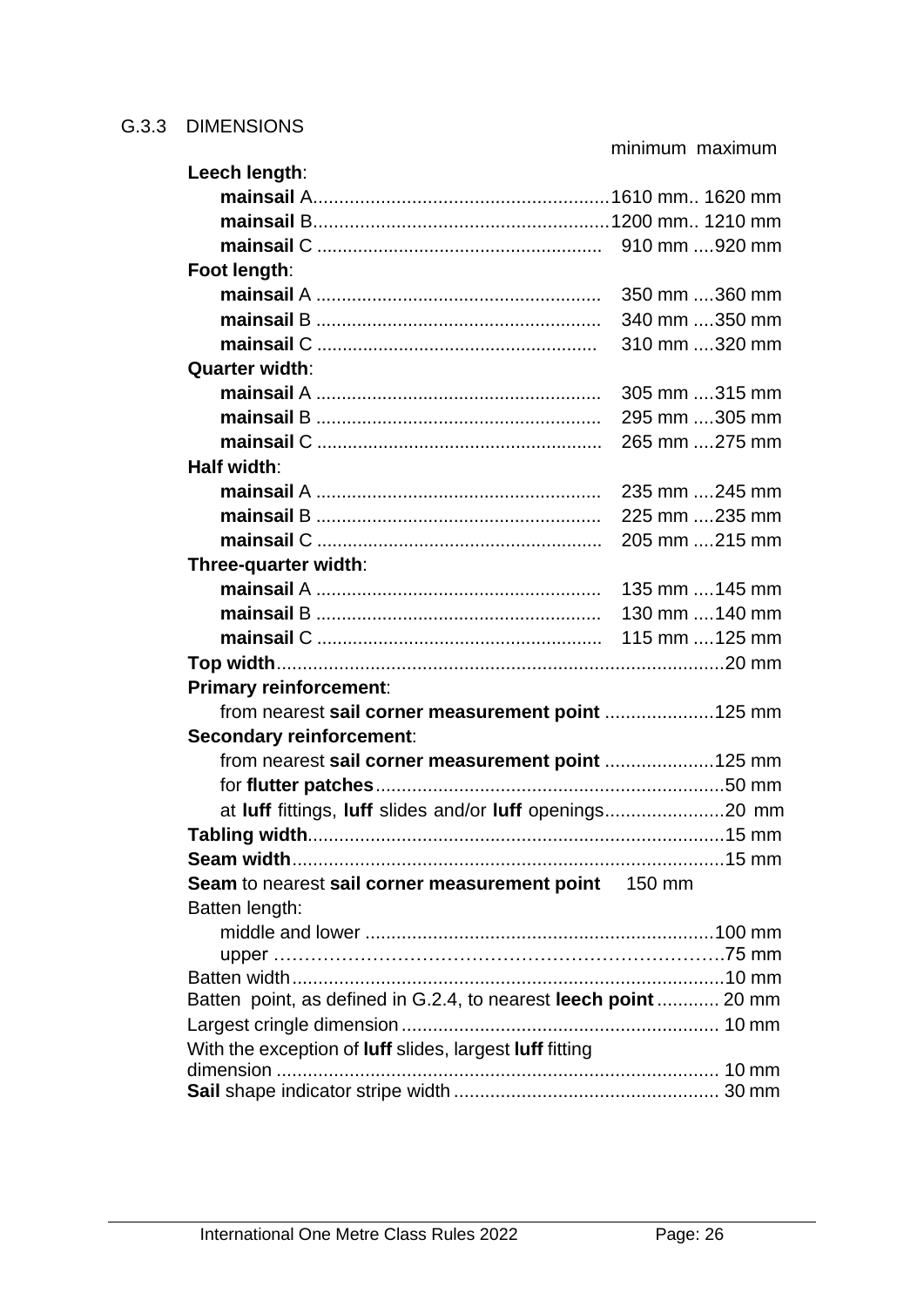minimum maximum

| Foot length:<br>350 mm 360 mm<br>340 mm 350 mm<br>310 mm 320 mm<br><b>Quarter width:</b><br>305 mm 315 mm<br>295 mm 305 mm<br>265 mm 275 mm<br>Half width:<br>235 mm 245 mm<br>225 mm 235 mm<br>205 mm 215 mm<br>Three-quarter width:<br>135 mm  145 mm<br>130 mm  140 mm<br><b>Primary reinforcement:</b><br>from nearest sail corner measurement point 125 mm<br>Secondary reinforcement:<br>from nearest sail corner measurement point 125 mm<br>at luff fittings, luff slides and/or luff openings20 mm<br>Seam to nearest sail corner measurement point 150 mm<br>Batten length:<br>Batten point, as defined in G.2.4, to nearest leech point  20 mm<br>With the exception of luff slides, largest luff fitting | Leech length: |  |
|----------------------------------------------------------------------------------------------------------------------------------------------------------------------------------------------------------------------------------------------------------------------------------------------------------------------------------------------------------------------------------------------------------------------------------------------------------------------------------------------------------------------------------------------------------------------------------------------------------------------------------------------------------------------------------------------------------------------|---------------|--|
|                                                                                                                                                                                                                                                                                                                                                                                                                                                                                                                                                                                                                                                                                                                      |               |  |
|                                                                                                                                                                                                                                                                                                                                                                                                                                                                                                                                                                                                                                                                                                                      |               |  |
|                                                                                                                                                                                                                                                                                                                                                                                                                                                                                                                                                                                                                                                                                                                      |               |  |
|                                                                                                                                                                                                                                                                                                                                                                                                                                                                                                                                                                                                                                                                                                                      |               |  |
|                                                                                                                                                                                                                                                                                                                                                                                                                                                                                                                                                                                                                                                                                                                      |               |  |
|                                                                                                                                                                                                                                                                                                                                                                                                                                                                                                                                                                                                                                                                                                                      |               |  |
|                                                                                                                                                                                                                                                                                                                                                                                                                                                                                                                                                                                                                                                                                                                      |               |  |
|                                                                                                                                                                                                                                                                                                                                                                                                                                                                                                                                                                                                                                                                                                                      |               |  |
|                                                                                                                                                                                                                                                                                                                                                                                                                                                                                                                                                                                                                                                                                                                      |               |  |
|                                                                                                                                                                                                                                                                                                                                                                                                                                                                                                                                                                                                                                                                                                                      |               |  |
|                                                                                                                                                                                                                                                                                                                                                                                                                                                                                                                                                                                                                                                                                                                      |               |  |
|                                                                                                                                                                                                                                                                                                                                                                                                                                                                                                                                                                                                                                                                                                                      |               |  |
|                                                                                                                                                                                                                                                                                                                                                                                                                                                                                                                                                                                                                                                                                                                      |               |  |
|                                                                                                                                                                                                                                                                                                                                                                                                                                                                                                                                                                                                                                                                                                                      |               |  |
|                                                                                                                                                                                                                                                                                                                                                                                                                                                                                                                                                                                                                                                                                                                      |               |  |
|                                                                                                                                                                                                                                                                                                                                                                                                                                                                                                                                                                                                                                                                                                                      |               |  |
|                                                                                                                                                                                                                                                                                                                                                                                                                                                                                                                                                                                                                                                                                                                      |               |  |
|                                                                                                                                                                                                                                                                                                                                                                                                                                                                                                                                                                                                                                                                                                                      |               |  |
|                                                                                                                                                                                                                                                                                                                                                                                                                                                                                                                                                                                                                                                                                                                      |               |  |
|                                                                                                                                                                                                                                                                                                                                                                                                                                                                                                                                                                                                                                                                                                                      |               |  |
|                                                                                                                                                                                                                                                                                                                                                                                                                                                                                                                                                                                                                                                                                                                      |               |  |
|                                                                                                                                                                                                                                                                                                                                                                                                                                                                                                                                                                                                                                                                                                                      |               |  |
|                                                                                                                                                                                                                                                                                                                                                                                                                                                                                                                                                                                                                                                                                                                      |               |  |
|                                                                                                                                                                                                                                                                                                                                                                                                                                                                                                                                                                                                                                                                                                                      |               |  |
|                                                                                                                                                                                                                                                                                                                                                                                                                                                                                                                                                                                                                                                                                                                      |               |  |
|                                                                                                                                                                                                                                                                                                                                                                                                                                                                                                                                                                                                                                                                                                                      |               |  |
|                                                                                                                                                                                                                                                                                                                                                                                                                                                                                                                                                                                                                                                                                                                      |               |  |
|                                                                                                                                                                                                                                                                                                                                                                                                                                                                                                                                                                                                                                                                                                                      |               |  |
|                                                                                                                                                                                                                                                                                                                                                                                                                                                                                                                                                                                                                                                                                                                      |               |  |
|                                                                                                                                                                                                                                                                                                                                                                                                                                                                                                                                                                                                                                                                                                                      |               |  |
|                                                                                                                                                                                                                                                                                                                                                                                                                                                                                                                                                                                                                                                                                                                      |               |  |
|                                                                                                                                                                                                                                                                                                                                                                                                                                                                                                                                                                                                                                                                                                                      |               |  |
|                                                                                                                                                                                                                                                                                                                                                                                                                                                                                                                                                                                                                                                                                                                      |               |  |
|                                                                                                                                                                                                                                                                                                                                                                                                                                                                                                                                                                                                                                                                                                                      |               |  |
|                                                                                                                                                                                                                                                                                                                                                                                                                                                                                                                                                                                                                                                                                                                      |               |  |
|                                                                                                                                                                                                                                                                                                                                                                                                                                                                                                                                                                                                                                                                                                                      |               |  |
|                                                                                                                                                                                                                                                                                                                                                                                                                                                                                                                                                                                                                                                                                                                      |               |  |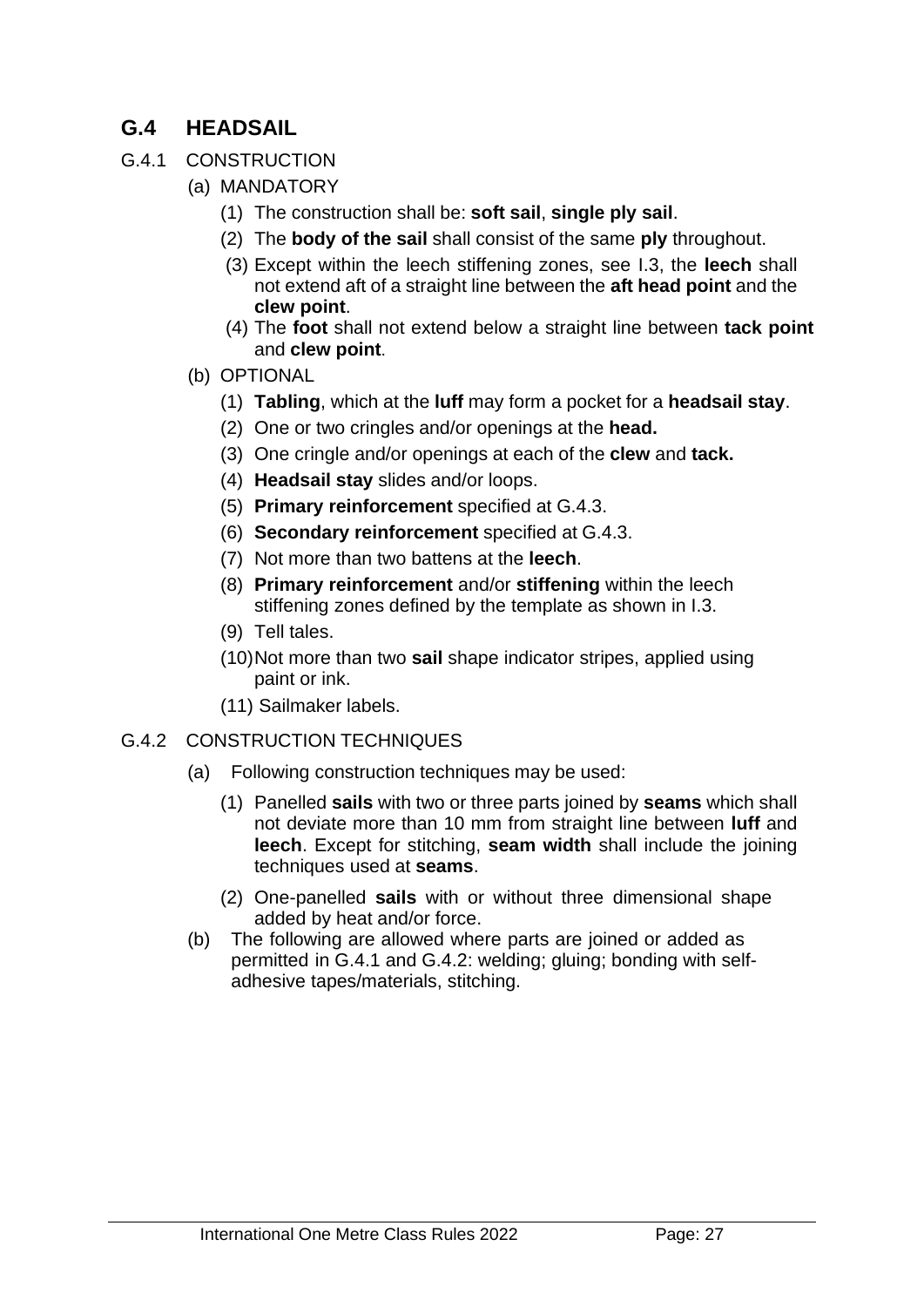# **G.4 HEADSAIL**

- G.4.1 CONSTRUCTION
	- (a) MANDATORY
		- (1) The construction shall be: **soft sail**, **single ply sail**.
		- (2) The **body of the sail** shall consist of the same **ply** throughout.
		- (3) Except within the leech stiffening zones, see I.3, the **leech** shall not extend aft of a straight line between the **aft head point** and the **clew point**.
		- (4) The **foot** shall not extend below a straight line between **tack point** and **clew point**.
	- (b) OPTIONAL
		- (1) **Tabling**, which at the **luff** may form a pocket for a **headsail stay**.
		- (2) One or two cringles and/or openings at the **head.**
		- (3) One cringle and/or openings at each of the **clew** and **tack.**
		- (4) **Headsail stay** slides and/or loops.
		- (5) **Primary reinforcement** specified at G.4.3.
		- (6) **Secondary reinforcement** specified at G.4.3.
		- (7) Not more than two battens at the **leech**.
		- (8) **Primary reinforcement** and/or **stiffening** within the leech stiffening zones defined by the template as shown in I.3.
		- (9) Tell tales.
		- (10)Not more than two **sail** shape indicator stripes, applied using paint or ink.
		- (11) Sailmaker labels.

#### G.4.2 CONSTRUCTION TECHNIQUES

- (a) Following construction techniques may be used:
	- (1) Panelled **sails** with two or three parts joined by **seams** which shall not deviate more than 10 mm from straight line between **luff** and **leech**. Except for stitching, **seam width** shall include the joining techniques used at **seams**.
	- (2) One-panelled **sails** with or without three dimensional shape added by heat and/or force.
- (b) The following are allowed where parts are joined or added as permitted in G.4.1 and G.4.2: welding; gluing; bonding with selfadhesive tapes/materials, stitching.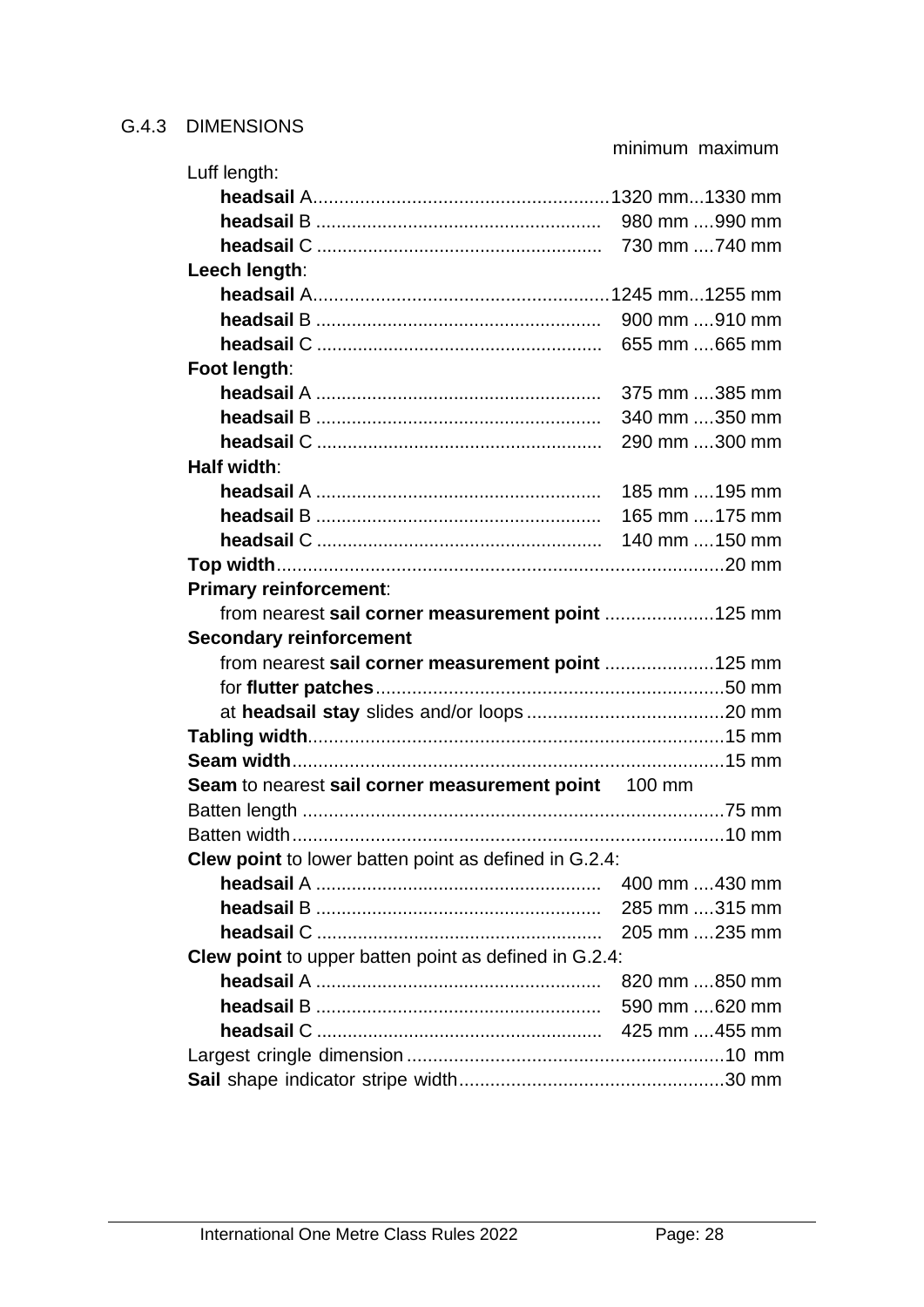minimum maximum

| Luff length:                                                 |                |  |
|--------------------------------------------------------------|----------------|--|
|                                                              |                |  |
|                                                              | 980 mm 990 mm  |  |
|                                                              | 730 mm 740 mm  |  |
| Leech length:                                                |                |  |
|                                                              |                |  |
|                                                              | 900 mm 910 mm  |  |
|                                                              | 655 mm 665 mm  |  |
| Foot length:                                                 |                |  |
|                                                              | 375 mm 385 mm  |  |
|                                                              | 340 mm 350 mm  |  |
|                                                              | 290 mm 300 mm  |  |
| Half width:                                                  |                |  |
|                                                              | 185 mm  195 mm |  |
|                                                              | 165 mm  175 mm |  |
|                                                              | 140 mm  150 mm |  |
|                                                              |                |  |
| <b>Primary reinforcement:</b>                                |                |  |
| from nearest sail corner measurement point 125 mm            |                |  |
| <b>Secondary reinforcement</b>                               |                |  |
| from nearest sail corner measurement point 125 mm            |                |  |
|                                                              |                |  |
|                                                              |                |  |
|                                                              |                |  |
|                                                              |                |  |
| Seam to nearest sail corner measurement point 100 mm         |                |  |
|                                                              |                |  |
|                                                              |                |  |
| <b>Clew point</b> to lower batten point as defined in G.2.4: |                |  |
|                                                              | 400 mm 430 mm  |  |
|                                                              | 285 mm 315 mm  |  |
|                                                              | 205 mm 235 mm  |  |
| Clew point to upper batten point as defined in G.2.4:        |                |  |
|                                                              | 820 mm 850 mm  |  |
|                                                              | 590 mm 620 mm  |  |
|                                                              |                |  |
|                                                              |                |  |
|                                                              |                |  |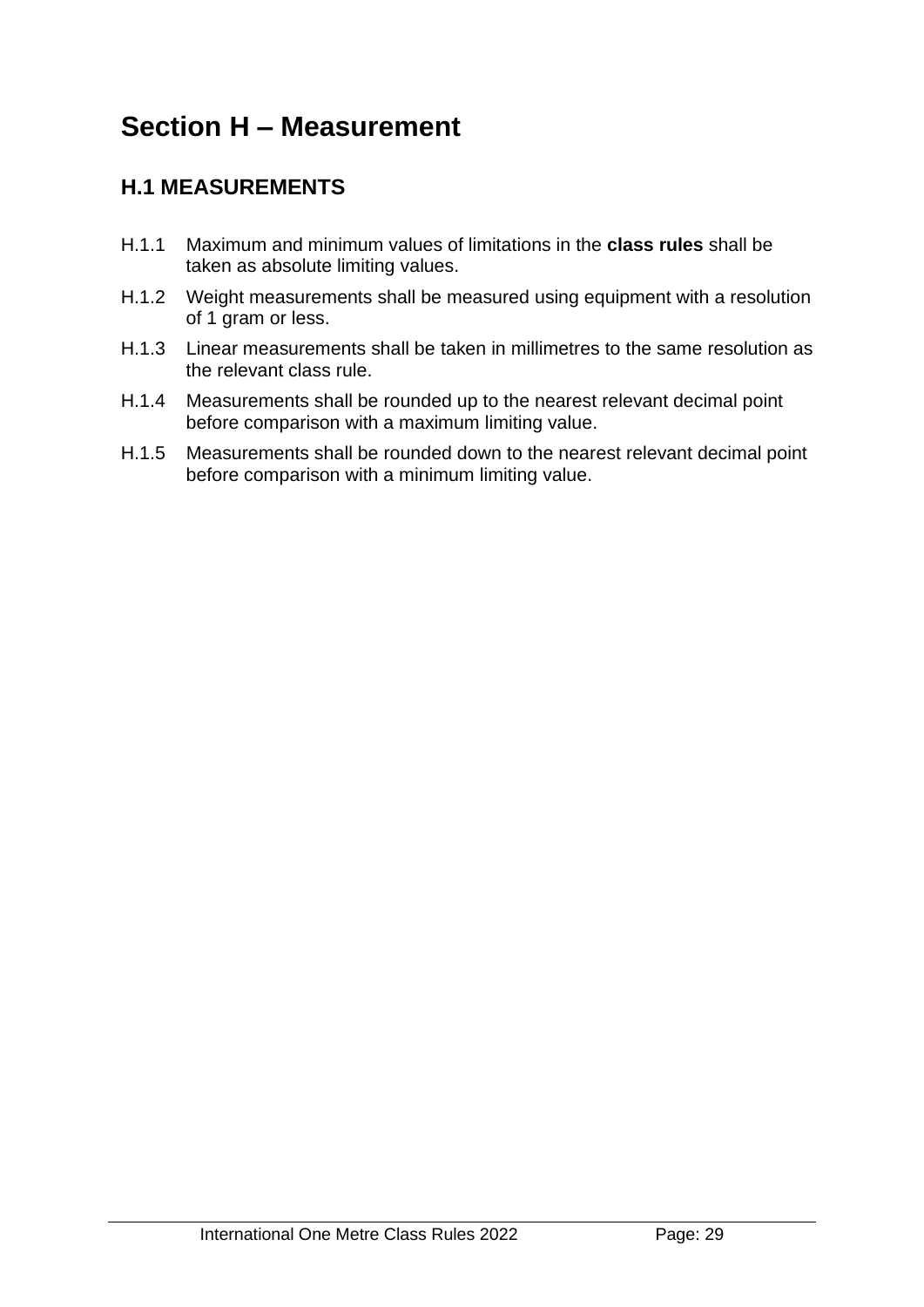# **Section H – Measurement**

# **H.1 MEASUREMENTS**

- H.1.1 Maximum and minimum values of limitations in the **class rules** shall be taken as absolute limiting values.
- H.1.2 Weight measurements shall be measured using equipment with a resolution of 1 gram or less.
- H.1.3 Linear measurements shall be taken in millimetres to the same resolution as the relevant class rule.
- H.1.4 Measurements shall be rounded up to the nearest relevant decimal point before comparison with a maximum limiting value.
- H.1.5 Measurements shall be rounded down to the nearest relevant decimal point before comparison with a minimum limiting value.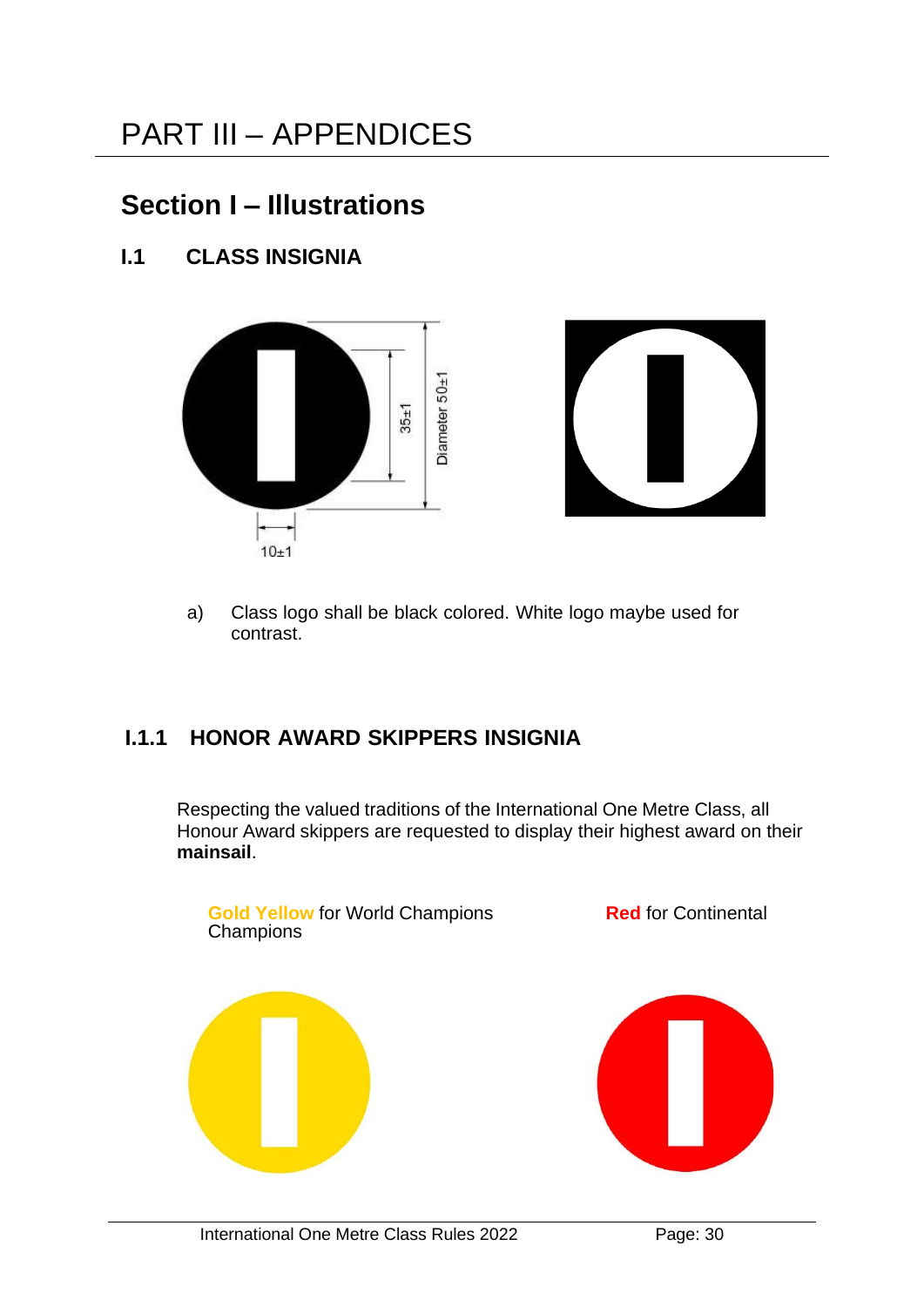# **Section I – Illustrations**

# **I.1 CLASS INSIGNIA**





a) Class logo shall be black colored. White logo maybe used for contrast.

# **I.1.1 HONOR AWARD SKIPPERS INSIGNIA**

Respecting the valued traditions of the International One Metre Class, all Honour Award skippers are requested to display their highest award on their **mainsail**.

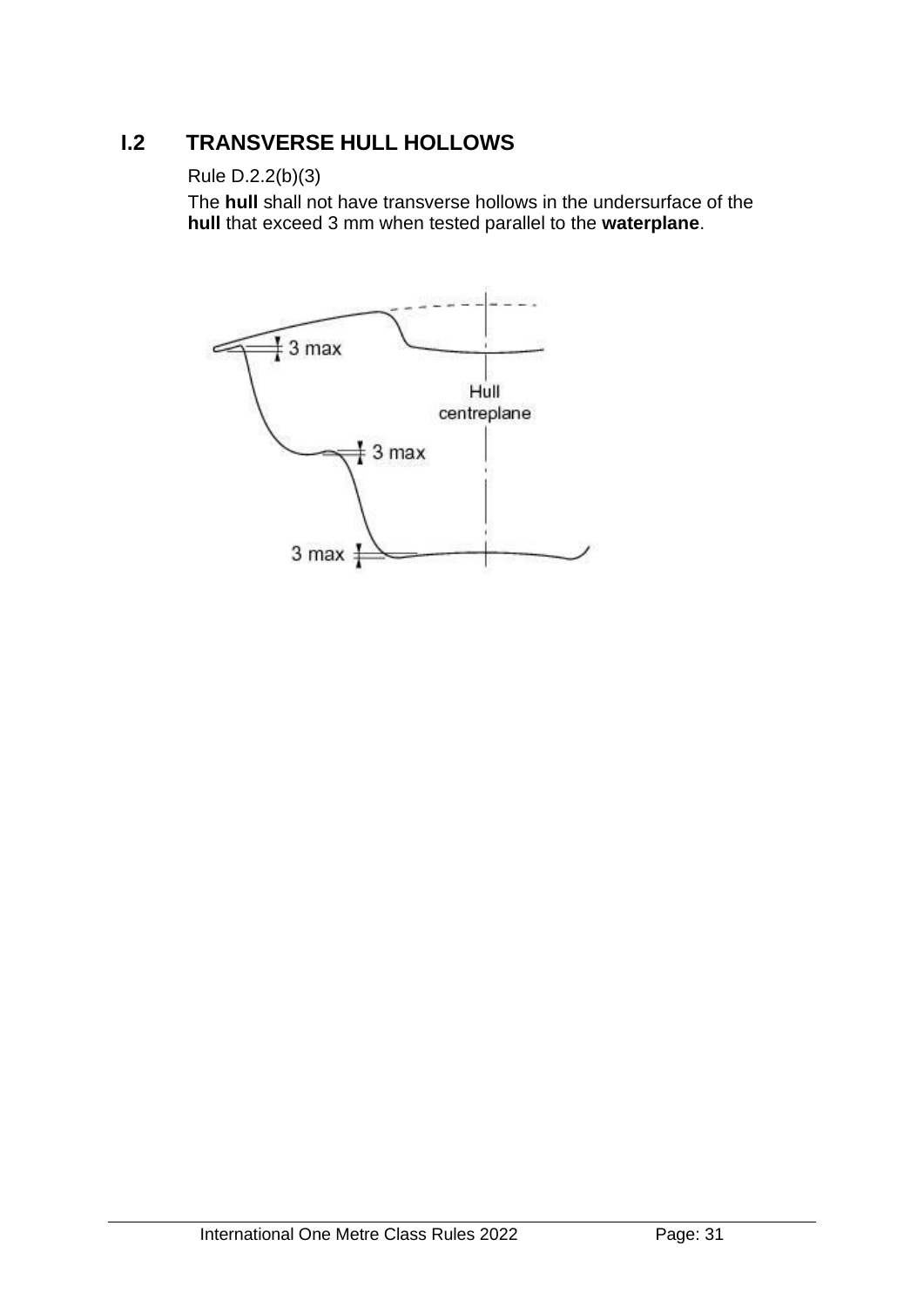# **I.2 TRANSVERSE HULL HOLLOWS**

## Rule D.2.2(b)(3)

The **hull** shall not have transverse hollows in the undersurface of the **hull** that exceed 3 mm when tested parallel to the **waterplane**.

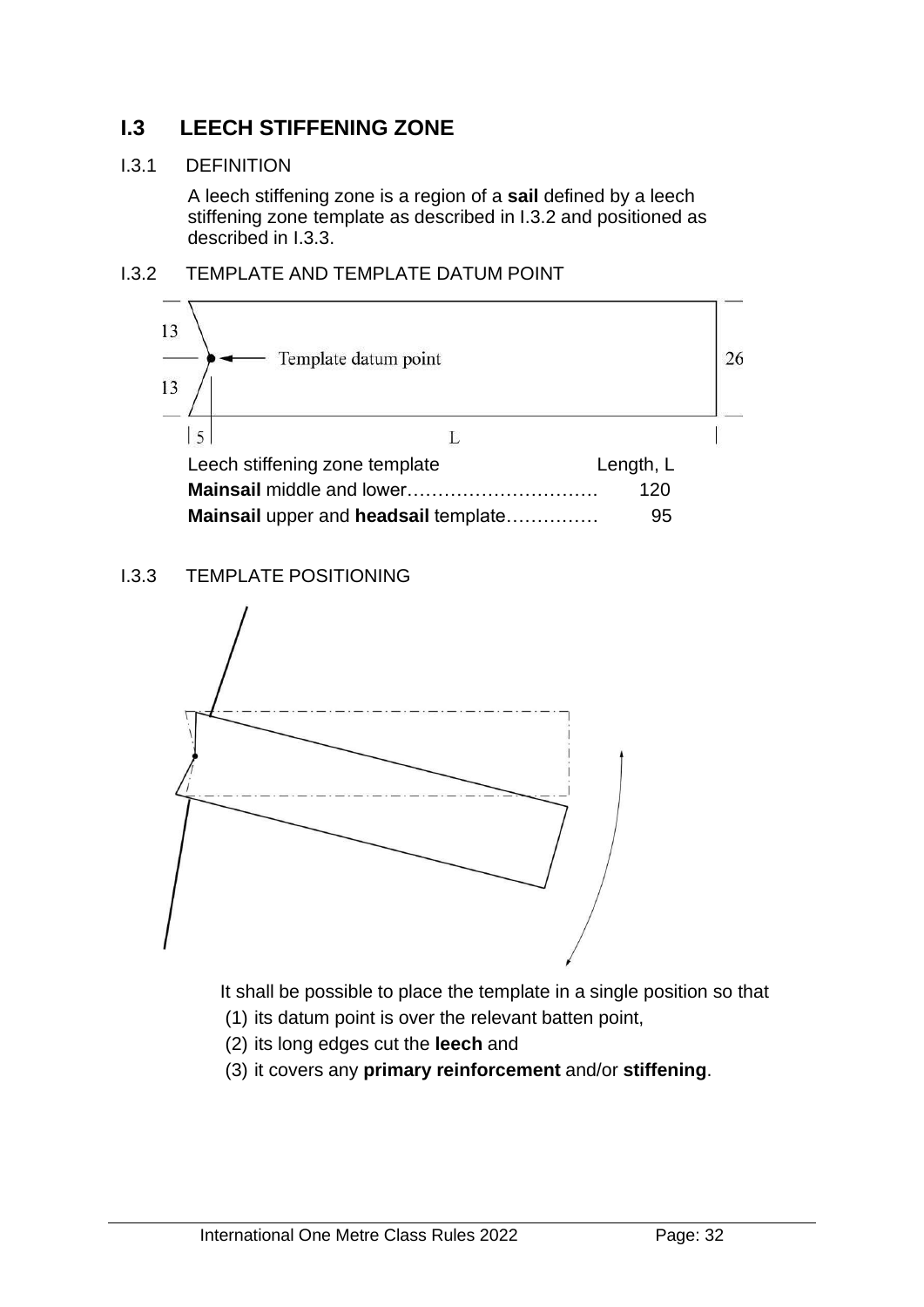# **I.3 LEECH STIFFENING ZONE**

#### I.3.1 DEFINITION

A leech stiffening zone is a region of a **sail** defined by a leech stiffening zone template as described in I.3.2 and positioned as described in I.3.3.





#### I.3.3 TEMPLATE POSITIONING



It shall be possible to place the template in a single position so that

- (1) its datum point is over the relevant batten point,
- (2) its long edges cut the **leech** and
- (3) it covers any **primary reinforcement** and/or **stiffening**.